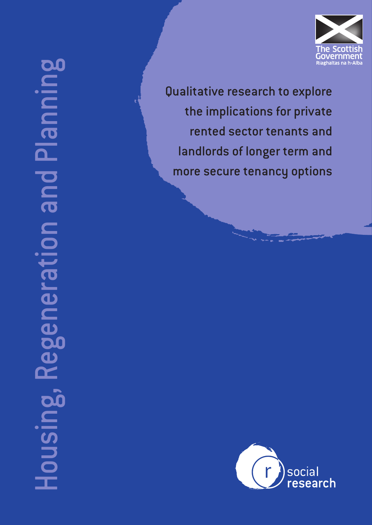

Housing, Regeneration and Planning **DC** and Planni ijbel U  $\equiv$ <u>ယ</u> lousin

Qualitative research to explore the implications for private rented sector tenants and landlords of longer term and more secure tenancy options

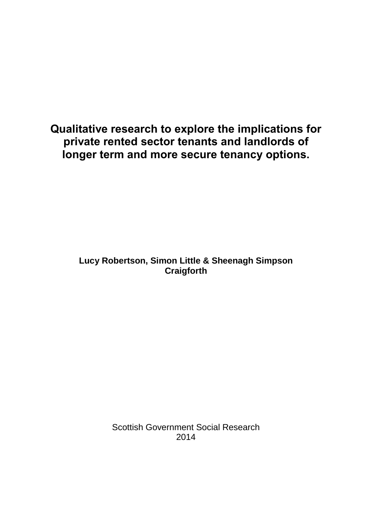**Qualitative research to explore the implications for private rented sector tenants and landlords of longer term and more secure tenancy options.**

> **Lucy Robertson, Simon Little & Sheenagh Simpson Craigforth**

> > Scottish Government Social Research 2014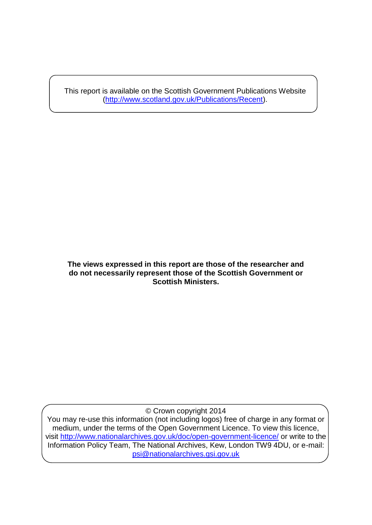This report is available on the Scottish Government Publications Website [\(http://www.scotland.gov.uk/Publications/Recent\)](http://www.scotland.gov.uk/Publications/Recent).

#### **The views expressed in this report are those of the researcher and do not necessarily represent those of the Scottish Government or Scottish Ministers.**

© Crown copyright 2014

You may re-use this information (not including logos) free of charge in any format or medium, under the terms of the Open Government Licence. To view this licence, visit<http://www.nationalarchives.gov.uk/doc/open-government-licence/> or write to the Information Policy Team, The National Archives, Kew, London TW9 4DU, or e-mail: [psi@nationalarchives.gsi.gov.uk](mailto:psi@nationalarchives.gsi.gov.uk)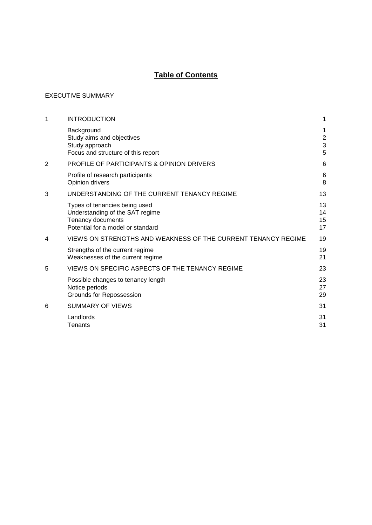# **Table of Contents**

#### [EXECUTIVE SUMMARY](#page-4-0)

| 1 | <b>INTRODUCTION</b>                                                                                                        | 1                                       |
|---|----------------------------------------------------------------------------------------------------------------------------|-----------------------------------------|
|   | Background<br>Study aims and objectives<br>Study approach<br>Focus and structure of this report                            | 1<br>$\overline{c}$<br>$\mathsf 3$<br>5 |
| 2 | PROFILE OF PARTICIPANTS & OPINION DRIVERS                                                                                  | 6                                       |
|   | Profile of research participants<br>Opinion drivers                                                                        | 6<br>8                                  |
| 3 | UNDERSTANDING OF THE CURRENT TENANCY REGIME                                                                                | 13                                      |
|   | Types of tenancies being used<br>Understanding of the SAT regime<br>Tenancy documents<br>Potential for a model or standard | 13<br>14<br>15<br>17                    |
| 4 | VIEWS ON STRENGTHS AND WEAKNESS OF THE CURRENT TENANCY REGIME                                                              | 19                                      |
|   | Strengths of the current regime<br>Weaknesses of the current regime                                                        | 19<br>21                                |
| 5 | VIEWS ON SPECIFIC ASPECTS OF THE TENANCY REGIME                                                                            | 23                                      |
|   | Possible changes to tenancy length<br>Notice periods<br>Grounds for Repossession                                           | 23<br>27<br>29                          |
| 6 | <b>SUMMARY OF VIEWS</b>                                                                                                    | 31                                      |
|   | Landlords<br>Tenants                                                                                                       | 31<br>31                                |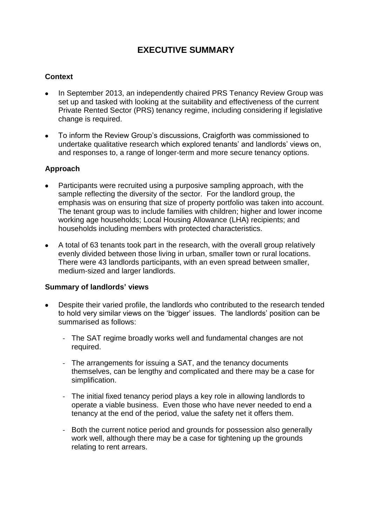# **EXECUTIVE SUMMARY**

# <span id="page-4-0"></span>**Context**

- In September 2013, an independently chaired PRS Tenancy Review Group was set up and tasked with looking at the suitability and effectiveness of the current Private Rented Sector (PRS) tenancy regime, including considering if legislative change is required.
- To inform the Review Group's discussions, Craigforth was commissioned to  $\bullet$ undertake qualitative research which explored tenants' and landlords' views on, and responses to, a range of longer-term and more secure tenancy options.

## **Approach**

- Participants were recruited using a purposive sampling approach, with the  $\bullet$ sample reflecting the diversity of the sector. For the landlord group, the emphasis was on ensuring that size of property portfolio was taken into account. The tenant group was to include families with children; higher and lower income working age households; Local Housing Allowance (LHA) recipients; and households including members with protected characteristics.
- A total of 63 tenants took part in the research, with the overall group relatively evenly divided between those living in urban, smaller town or rural locations. There were 43 landlords participants, with an even spread between smaller, medium-sized and larger landlords.

#### **Summary of landlords' views**

- Despite their varied profile, the landlords who contributed to the research tended to hold very similar views on the 'bigger' issues. The landlords' position can be summarised as follows:
	- The SAT regime broadly works well and fundamental changes are not required.
	- The arrangements for issuing a SAT, and the tenancy documents themselves, can be lengthy and complicated and there may be a case for simplification.
	- The initial fixed tenancy period plays a key role in allowing landlords to operate a viable business. Even those who have never needed to end a tenancy at the end of the period, value the safety net it offers them.
	- Both the current notice period and grounds for possession also generally work well, although there may be a case for tightening up the grounds relating to rent arrears.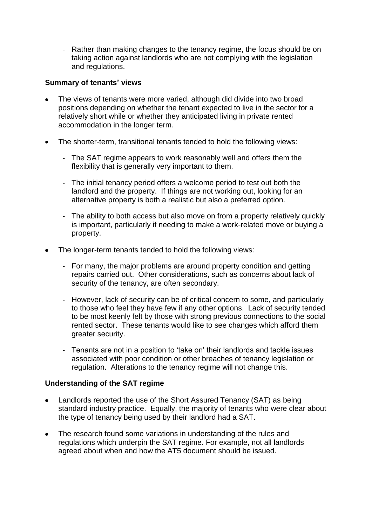- Rather than making changes to the tenancy regime, the focus should be on taking action against landlords who are not complying with the legislation and regulations.

## **Summary of tenants' views**

- The views of tenants were more varied, although did divide into two broad  $\bullet$ positions depending on whether the tenant expected to live in the sector for a relatively short while or whether they anticipated living in private rented accommodation in the longer term.
- The shorter-term, transitional tenants tended to hold the following views:
	- The SAT regime appears to work reasonably well and offers them the flexibility that is generally very important to them.
	- The initial tenancy period offers a welcome period to test out both the landlord and the property. If things are not working out, looking for an alternative property is both a realistic but also a preferred option.
	- The ability to both access but also move on from a property relatively quickly is important, particularly if needing to make a work-related move or buying a property.
- The longer-term tenants tended to hold the following views:
	- For many, the major problems are around property condition and getting repairs carried out. Other considerations, such as concerns about lack of security of the tenancy, are often secondary.
	- However, lack of security can be of critical concern to some, and particularly to those who feel they have few if any other options. Lack of security tended to be most keenly felt by those with strong previous connections to the social rented sector. These tenants would like to see changes which afford them greater security.
	- Tenants are not in a position to 'take on' their landlords and tackle issues associated with poor condition or other breaches of tenancy legislation or regulation. Alterations to the tenancy regime will not change this.

#### **Understanding of the SAT regime**

- Landlords reported the use of the Short Assured Tenancy (SAT) as being  $\bullet$ standard industry practice. Equally, the majority of tenants who were clear about the type of tenancy being used by their landlord had a SAT.
- The research found some variations in understanding of the rules and regulations which underpin the SAT regime. For example, not all landlords agreed about when and how the AT5 document should be issued.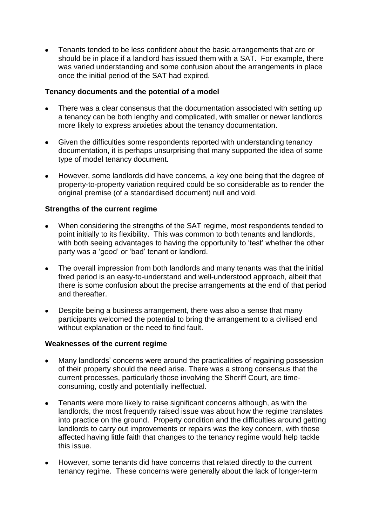Tenants tended to be less confident about the basic arrangements that are or should be in place if a landlord has issued them with a SAT. For example, there was varied understanding and some confusion about the arrangements in place once the initial period of the SAT had expired.

#### **Tenancy documents and the potential of a model**

- There was a clear consensus that the documentation associated with setting up a tenancy can be both lengthy and complicated, with smaller or newer landlords more likely to express anxieties about the tenancy documentation.
- Given the difficulties some respondents reported with understanding tenancy  $\bullet$ documentation, it is perhaps unsurprising that many supported the idea of some type of model tenancy document.
- However, some landlords did have concerns, a key one being that the degree of property-to-property variation required could be so considerable as to render the original premise (of a standardised document) null and void.

## **Strengths of the current regime**

- When considering the strengths of the SAT regime, most respondents tended to point initially to its flexibility. This was common to both tenants and landlords, with both seeing advantages to having the opportunity to 'test' whether the other party was a 'good' or 'bad' tenant or landlord.
- The overall impression from both landlords and many tenants was that the initial  $\bullet$ fixed period is an easy-to-understand and well-understood approach, albeit that there is some confusion about the precise arrangements at the end of that period and thereafter.
- Despite being a business arrangement, there was also a sense that many  $\bullet$ participants welcomed the potential to bring the arrangement to a civilised end without explanation or the need to find fault.

#### **Weaknesses of the current regime**

- Many landlords' concerns were around the practicalities of regaining possession of their property should the need arise. There was a strong consensus that the current processes, particularly those involving the Sheriff Court, are timeconsuming, costly and potentially ineffectual.
- $\bullet$ Tenants were more likely to raise significant concerns although, as with the landlords, the most frequently raised issue was about how the regime translates into practice on the ground. Property condition and the difficulties around getting landlords to carry out improvements or repairs was the key concern, with those affected having little faith that changes to the tenancy regime would help tackle this issue.
- However, some tenants did have concerns that related directly to the current tenancy regime. These concerns were generally about the lack of longer-term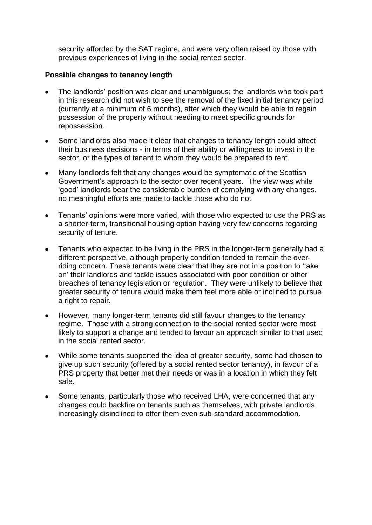security afforded by the SAT regime, and were very often raised by those with previous experiences of living in the social rented sector.

#### **Possible changes to tenancy length**

- The landlords' position was clear and unambiguous; the landlords who took part in this research did not wish to see the removal of the fixed initial tenancy period (currently at a minimum of 6 months), after which they would be able to regain possession of the property without needing to meet specific grounds for repossession.
- Some landlords also made it clear that changes to tenancy length could affect  $\bullet$ their business decisions - in terms of their ability or willingness to invest in the sector, or the types of tenant to whom they would be prepared to rent.
- Many landlords felt that any changes would be symptomatic of the Scottish Government's approach to the sector over recent years. The view was while 'good' landlords bear the considerable burden of complying with any changes, no meaningful efforts are made to tackle those who do not.
- $\bullet$ Tenants' opinions were more varied, with those who expected to use the PRS as a shorter-term, transitional housing option having very few concerns regarding security of tenure.
- Tenants who expected to be living in the PRS in the longer-term generally had a  $\bullet$ different perspective, although property condition tended to remain the overriding concern. These tenants were clear that they are not in a position to 'take on' their landlords and tackle issues associated with poor condition or other breaches of tenancy legislation or regulation. They were unlikely to believe that greater security of tenure would make them feel more able or inclined to pursue a right to repair.
- However, many longer-term tenants did still favour changes to the tenancy  $\bullet$ regime. Those with a strong connection to the social rented sector were most likely to support a change and tended to favour an approach similar to that used in the social rented sector.
- While some tenants supported the idea of greater security, some had chosen to  $\bullet$ give up such security (offered by a social rented sector tenancy), in favour of a PRS property that better met their needs or was in a location in which they felt safe.
- $\bullet$ Some tenants, particularly those who received LHA, were concerned that any changes could backfire on tenants such as themselves, with private landlords increasingly disinclined to offer them even sub-standard accommodation.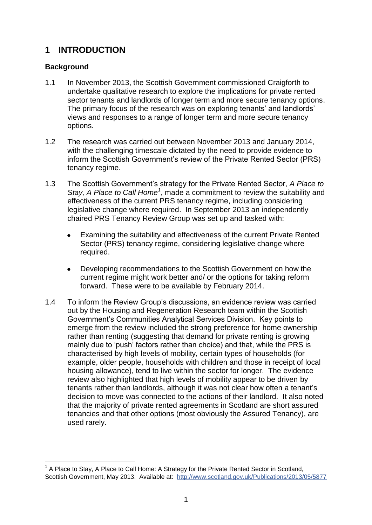# <span id="page-8-0"></span>**1 INTRODUCTION**

# <span id="page-8-1"></span>**Background**

- 1.1 In November 2013, the Scottish Government commissioned Craigforth to undertake qualitative research to explore the implications for private rented sector tenants and landlords of longer term and more secure tenancy options. The primary focus of the research was on exploring tenants' and landlords' views and responses to a range of longer term and more secure tenancy options.
- 1.2 The research was carried out between November 2013 and January 2014, with the challenging timescale dictated by the need to provide evidence to inform the Scottish Government's review of the Private Rented Sector (PRS) tenancy regime.
- 1.3 The Scottish Government's strategy for the Private Rented Sector, *A Place to*  Stay, A Place to Call Home<sup>1</sup>, made a commitment to review the suitability and effectiveness of the current PRS tenancy regime, including considering legislative change where required. In September 2013 an independently chaired PRS Tenancy Review Group was set up and tasked with:
	- Examining the suitability and effectiveness of the current Private Rented Sector (PRS) tenancy regime, considering legislative change where required.
	- Developing recommendations to the Scottish Government on how the  $\bullet$ current regime might work better and/ or the options for taking reform forward. These were to be available by February 2014.
- 1.4 To inform the Review Group's discussions, an evidence review was carried out by the Housing and Regeneration Research team within the Scottish Government's Communities Analytical Services Division. Key points to emerge from the review included the strong preference for home ownership rather than renting (suggesting that demand for private renting is growing mainly due to 'push' factors rather than choice) and that, while the PRS is characterised by high levels of mobility, certain types of households (for example, older people, households with children and those in receipt of local housing allowance), tend to live within the sector for longer. The evidence review also highlighted that high levels of mobility appear to be driven by tenants rather than landlords, although it was not clear how often a tenant's decision to move was connected to the actions of their landlord. It also noted that the majority of private rented agreements in Scotland are short assured tenancies and that other options (most obviously the Assured Tenancy), are used rarely.

<sup>1</sup> 1 A Place to Stay, A Place to Call Home: A Strategy for the Private Rented Sector in Scotland, Scottish Government, May 2013. Available at: http://www.scotland.gov.uk/Publications/2013/05/5877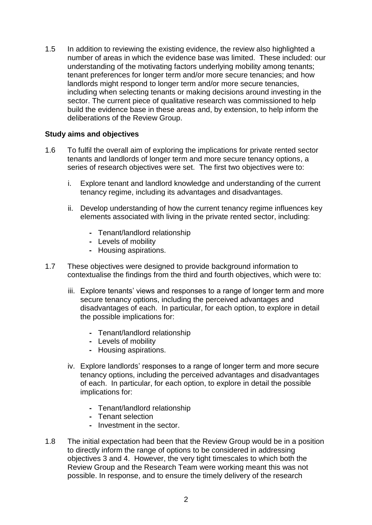1.5 In addition to reviewing the existing evidence, the review also highlighted a number of areas in which the evidence base was limited. These included: our understanding of the motivating factors underlying mobility among tenants; tenant preferences for longer term and/or more secure tenancies; and how landlords might respond to longer term and/or more secure tenancies, including when selecting tenants or making decisions around investing in the sector. The current piece of qualitative research was commissioned to help build the evidence base in these areas and, by extension, to help inform the deliberations of the Review Group.

#### <span id="page-9-0"></span>**Study aims and objectives**

- 1.6 To fulfil the overall aim of exploring the implications for private rented sector tenants and landlords of longer term and more secure tenancy options, a series of research objectives were set. The first two objectives were to:
	- i. Explore tenant and landlord knowledge and understanding of the current tenancy regime, including its advantages and disadvantages.
	- ii. Develop understanding of how the current tenancy regime influences key elements associated with living in the private rented sector, including:
		- **-** Tenant/landlord relationship
		- **-** Levels of mobility
		- **-** Housing aspirations.
- 1.7 These objectives were designed to provide background information to contextualise the findings from the third and fourth objectives, which were to:
	- iii. Explore tenants' views and responses to a range of longer term and more secure tenancy options, including the perceived advantages and disadvantages of each. In particular, for each option, to explore in detail the possible implications for:
		- **-** Tenant/landlord relationship
		- **-** Levels of mobility
		- **-** Housing aspirations.
	- iv. Explore landlords' responses to a range of longer term and more secure tenancy options, including the perceived advantages and disadvantages of each. In particular, for each option, to explore in detail the possible implications for:
		- **-** Tenant/landlord relationship
		- **-** Tenant selection
		- **-** Investment in the sector.
- 1.8 The initial expectation had been that the Review Group would be in a position to directly inform the range of options to be considered in addressing objectives 3 and 4. However, the very tight timescales to which both the Review Group and the Research Team were working meant this was not possible. In response, and to ensure the timely delivery of the research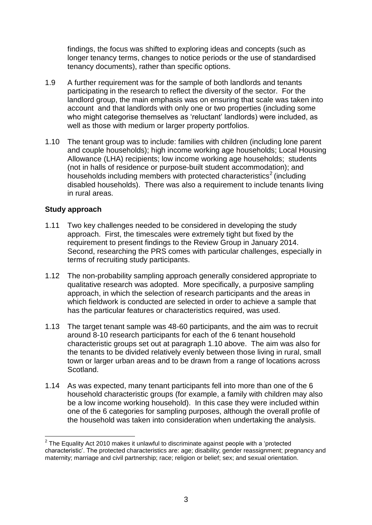findings, the focus was shifted to exploring ideas and concepts (such as longer tenancy terms, changes to notice periods or the use of standardised tenancy documents), rather than specific options.

- 1.9 A further requirement was for the sample of both landlords and tenants participating in the research to reflect the diversity of the sector. For the landlord group, the main emphasis was on ensuring that scale was taken into account and that landlords with only one or two properties (including some who might categorise themselves as 'reluctant' landlords) were included, as well as those with medium or larger property portfolios.
- 1.10 The tenant group was to include: families with children (including lone parent and couple households); high income working age households; Local Housing Allowance (LHA) recipients; low income working age households; students (not in halls of residence or purpose-built student accommodation); and households including members with protected characteristics<sup>2</sup> (including disabled households). There was also a requirement to include tenants living in rural areas.

## <span id="page-10-0"></span>**Study approach**

1

- 1.11 Two key challenges needed to be considered in developing the study approach. First, the timescales were extremely tight but fixed by the requirement to present findings to the Review Group in January 2014. Second, researching the PRS comes with particular challenges, especially in terms of recruiting study participants.
- 1.12 The non-probability sampling approach generally considered appropriate to qualitative research was adopted. More specifically, a purposive sampling approach, in which the selection of research participants and the areas in which fieldwork is conducted are selected in order to achieve a sample that has the particular features or characteristics required, was used.
- 1.13 The target tenant sample was 48-60 participants, and the aim was to recruit around 8-10 research participants for each of the 6 tenant household characteristic groups set out at paragraph 1.10 above. The aim was also for the tenants to be divided relatively evenly between those living in rural, small town or larger urban areas and to be drawn from a range of locations across Scotland.
- 1.14 As was expected, many tenant participants fell into more than one of the 6 household characteristic groups (for example, a family with children may also be a low income working household). In this case they were included within one of the 6 categories for sampling purposes, although the overall profile of the household was taken into consideration when undertaking the analysis.

 $2$  The Equality Act 2010 makes it unlawful to discriminate against people with a 'protected characteristic'. The protected characteristics are: age; disability; gender reassignment; pregnancy and maternity; marriage and civil partnership; race; religion or belief; sex; and sexual orientation.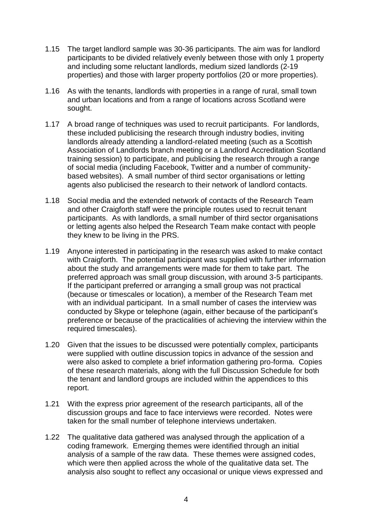- 1.15 The target landlord sample was 30-36 participants. The aim was for landlord participants to be divided relatively evenly between those with only 1 property and including some reluctant landlords, medium sized landlords (2-19 properties) and those with larger property portfolios (20 or more properties).
- 1.16 As with the tenants, landlords with properties in a range of rural, small town and urban locations and from a range of locations across Scotland were sought.
- 1.17 A broad range of techniques was used to recruit participants. For landlords, these included publicising the research through industry bodies, inviting landlords already attending a landlord-related meeting (such as a Scottish Association of Landlords branch meeting or a Landlord Accreditation Scotland training session) to participate, and publicising the research through a range of social media (including Facebook, Twitter and a number of communitybased websites). A small number of third sector organisations or letting agents also publicised the research to their network of landlord contacts.
- 1.18 Social media and the extended network of contacts of the Research Team and other Craigforth staff were the principle routes used to recruit tenant participants. As with landlords, a small number of third sector organisations or letting agents also helped the Research Team make contact with people they knew to be living in the PRS.
- 1.19 Anyone interested in participating in the research was asked to make contact with Craigforth. The potential participant was supplied with further information about the study and arrangements were made for them to take part. The preferred approach was small group discussion, with around 3-5 participants. If the participant preferred or arranging a small group was not practical (because or timescales or location), a member of the Research Team met with an individual participant. In a small number of cases the interview was conducted by Skype or telephone (again, either because of the participant's preference or because of the practicalities of achieving the interview within the required timescales).
- 1.20 Given that the issues to be discussed were potentially complex, participants were supplied with outline discussion topics in advance of the session and were also asked to complete a brief information gathering pro-forma. Copies of these research materials, along with the full Discussion Schedule for both the tenant and landlord groups are included within the appendices to this report.
- 1.21 With the express prior agreement of the research participants, all of the discussion groups and face to face interviews were recorded. Notes were taken for the small number of telephone interviews undertaken.
- 1.22 The qualitative data gathered was analysed through the application of a coding framework. Emerging themes were identified through an initial analysis of a sample of the raw data. These themes were assigned codes, which were then applied across the whole of the qualitative data set. The analysis also sought to reflect any occasional or unique views expressed and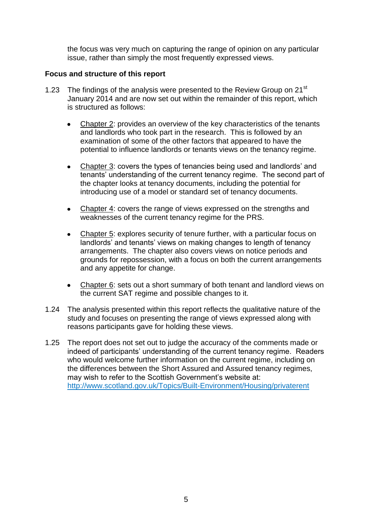the focus was very much on capturing the range of opinion on any particular issue, rather than simply the most frequently expressed views.

#### <span id="page-12-0"></span>**Focus and structure of this report**

- 1.23 The findings of the analysis were presented to the Review Group on 21<sup>st</sup> January 2014 and are now set out within the remainder of this report, which is structured as follows:
	- Chapter 2: provides an overview of the key characteristics of the tenants and landlords who took part in the research. This is followed by an examination of some of the other factors that appeared to have the potential to influence landlords or tenants views on the tenancy regime.
	- Chapter 3: covers the types of tenancies being used and landlords' and tenants' understanding of the current tenancy regime. The second part of the chapter looks at tenancy documents, including the potential for introducing use of a model or standard set of tenancy documents.
	- Chapter 4: covers the range of views expressed on the strengths and weaknesses of the current tenancy regime for the PRS.
	- Chapter 5: explores security of tenure further, with a particular focus on  $\bullet$ landlords' and tenants' views on making changes to length of tenancy arrangements. The chapter also covers views on notice periods and grounds for repossession, with a focus on both the current arrangements and any appetite for change.
	- Chapter 6: sets out a short summary of both tenant and landlord views on the current SAT regime and possible changes to it.
- 1.24 The analysis presented within this report reflects the qualitative nature of the study and focuses on presenting the range of views expressed along with reasons participants gave for holding these views.
- 1.25 The report does not set out to judge the accuracy of the comments made or indeed of participants' understanding of the current tenancy regime. Readers who would welcome further information on the current regime, including on the differences between the Short Assured and Assured tenancy regimes, may wish to refer to the Scottish Government's website at: http://www.scotland.gov.uk/Topics/Built-Environment/Housing/privaterent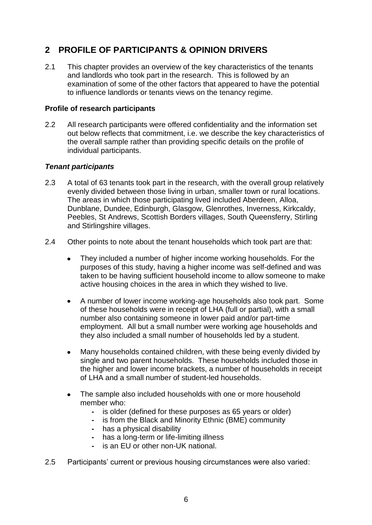# <span id="page-13-0"></span>**2 PROFILE OF PARTICIPANTS & OPINION DRIVERS**

2.1 This chapter provides an overview of the key characteristics of the tenants and landlords who took part in the research. This is followed by an examination of some of the other factors that appeared to have the potential to influence landlords or tenants views on the tenancy regime.

## <span id="page-13-1"></span>**Profile of research participants**

2.2 All research participants were offered confidentiality and the information set out below reflects that commitment, i.e. we describe the key characteristics of the overall sample rather than providing specific details on the profile of individual participants.

#### *Tenant participants*

- 2.3 A total of 63 tenants took part in the research, with the overall group relatively evenly divided between those living in urban, smaller town or rural locations. The areas in which those participating lived included Aberdeen, Alloa, Dunblane, Dundee, Edinburgh, Glasgow, Glenrothes, Inverness, Kirkcaldy, Peebles, St Andrews, Scottish Borders villages, South Queensferry, Stirling and Stirlingshire villages.
- 2.4 Other points to note about the tenant households which took part are that:
	- They included a number of higher income working households. For the  $\bullet$ purposes of this study, having a higher income was self-defined and was taken to be having sufficient household income to allow someone to make active housing choices in the area in which they wished to live.
	- A number of lower income working-age households also took part. Some  $\bullet$ of these households were in receipt of LHA (full or partial), with a small number also containing someone in lower paid and/or part-time employment. All but a small number were working age households and they also included a small number of households led by a student.
	- Many households contained children, with these being evenly divided by single and two parent households. These households included those in the higher and lower income brackets, a number of households in receipt of LHA and a small number of student-led households.
	- The sample also included households with one or more household  $\bullet$ member who:
		- **-** is older (defined for these purposes as 65 years or older)
		- **-** is from the Black and Minority Ethnic (BME) community
		- **-** has a physical disability
		- **-** has a long-term or life-limiting illness
		- **-** is an EU or other non-UK national.
- 2.5 Participants' current or previous housing circumstances were also varied: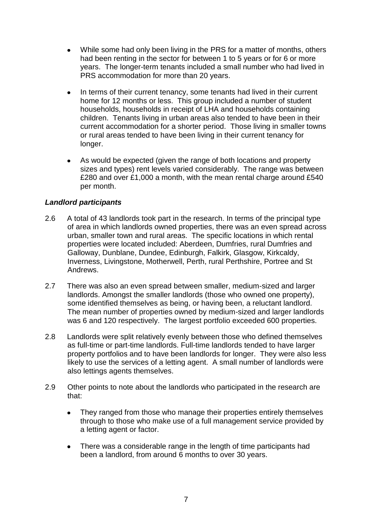- While some had only been living in the PRS for a matter of months, others  $\bullet$ had been renting in the sector for between 1 to 5 years or for 6 or more years. The longer-term tenants included a small number who had lived in PRS accommodation for more than 20 years.
- In terms of their current tenancy, some tenants had lived in their current  $\bullet$ home for 12 months or less. This group included a number of student households, households in receipt of LHA and households containing children. Tenants living in urban areas also tended to have been in their current accommodation for a shorter period. Those living in smaller towns or rural areas tended to have been living in their current tenancy for longer.
- As would be expected (given the range of both locations and property sizes and types) rent levels varied considerably. The range was between £280 and over £1,000 a month, with the mean rental charge around £540 per month.

# *Landlord participants*

- 2.6 A total of 43 landlords took part in the research. In terms of the principal type of area in which landlords owned properties, there was an even spread across urban, smaller town and rural areas. The specific locations in which rental properties were located included: Aberdeen, Dumfries, rural Dumfries and Galloway, Dunblane, Dundee, Edinburgh, Falkirk, Glasgow, Kirkcaldy, Inverness, Livingstone, Motherwell, Perth, rural Perthshire, Portree and St Andrews.
- 2.7 There was also an even spread between smaller, medium-sized and larger landlords. Amongst the smaller landlords (those who owned one property), some identified themselves as being, or having been, a reluctant landlord. The mean number of properties owned by medium-sized and larger landlords was 6 and 120 respectively. The largest portfolio exceeded 600 properties.
- 2.8 Landlords were split relatively evenly between those who defined themselves as full-time or part-time landlords. Full-time landlords tended to have larger property portfolios and to have been landlords for longer. They were also less likely to use the services of a letting agent. A small number of landlords were also lettings agents themselves.
- 2.9 Other points to note about the landlords who participated in the research are that:
	- They ranged from those who manage their properties entirely themselves  $\bullet$ through to those who make use of a full management service provided by a letting agent or factor.
	- There was a considerable range in the length of time participants had been a landlord, from around 6 months to over 30 years.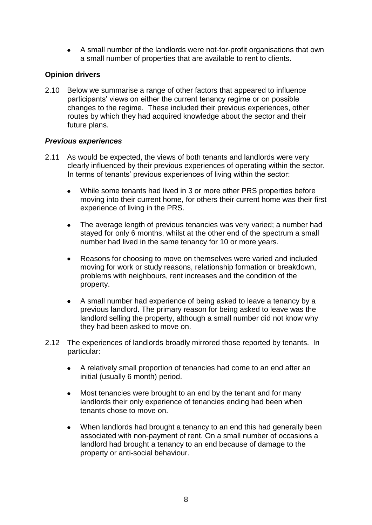A small number of the landlords were not-for-profit organisations that own a small number of properties that are available to rent to clients.

# <span id="page-15-0"></span>**Opinion drivers**

2.10 Below we summarise a range of other factors that appeared to influence participants' views on either the current tenancy regime or on possible changes to the regime. These included their previous experiences, other routes by which they had acquired knowledge about the sector and their future plans.

# *Previous experiences*

- 2.11 As would be expected, the views of both tenants and landlords were very clearly influenced by their previous experiences of operating within the sector. In terms of tenants' previous experiences of living within the sector:
	- While some tenants had lived in 3 or more other PRS properties before moving into their current home, for others their current home was their first experience of living in the PRS.
	- The average length of previous tenancies was very varied; a number had stayed for only 6 months, whilst at the other end of the spectrum a small number had lived in the same tenancy for 10 or more years.
	- Reasons for choosing to move on themselves were varied and included  $\bullet$ moving for work or study reasons, relationship formation or breakdown, problems with neighbours, rent increases and the condition of the property.
	- A small number had experience of being asked to leave a tenancy by a previous landlord. The primary reason for being asked to leave was the landlord selling the property, although a small number did not know why they had been asked to move on.
- 2.12 The experiences of landlords broadly mirrored those reported by tenants. In particular:
	- A relatively small proportion of tenancies had come to an end after an  $\bullet$ initial (usually 6 month) period.
	- Most tenancies were brought to an end by the tenant and for many  $\bullet$ landlords their only experience of tenancies ending had been when tenants chose to move on.
	- When landlords had brought a tenancy to an end this had generally been associated with non-payment of rent. On a small number of occasions a landlord had brought a tenancy to an end because of damage to the property or anti-social behaviour.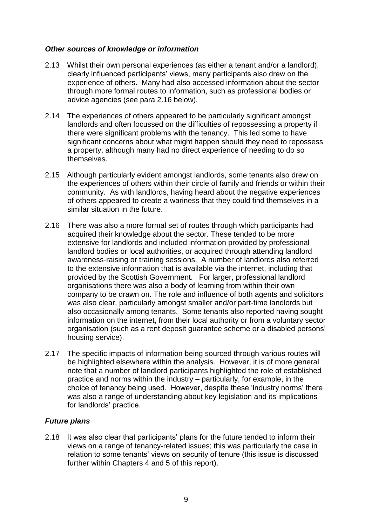#### *Other sources of knowledge or information*

- 2.13 Whilst their own personal experiences (as either a tenant and/or a landlord), clearly influenced participants' views, many participants also drew on the experience of others. Many had also accessed information about the sector through more formal routes to information, such as professional bodies or advice agencies (see para 2.16 below).
- 2.14 The experiences of others appeared to be particularly significant amongst landlords and often focussed on the difficulties of repossessing a property if there were significant problems with the tenancy. This led some to have significant concerns about what might happen should they need to repossess a property, although many had no direct experience of needing to do so themselves.
- 2.15 Although particularly evident amongst landlords, some tenants also drew on the experiences of others within their circle of family and friends or within their community. As with landlords, having heard about the negative experiences of others appeared to create a wariness that they could find themselves in a similar situation in the future.
- 2.16 There was also a more formal set of routes through which participants had acquired their knowledge about the sector. These tended to be more extensive for landlords and included information provided by professional landlord bodies or local authorities, or acquired through attending landlord awareness-raising or training sessions. A number of landlords also referred to the extensive information that is available via the internet, including that provided by the Scottish Government. For larger, professional landlord organisations there was also a body of learning from within their own company to be drawn on. The role and influence of both agents and solicitors was also clear, particularly amongst smaller and/or part-time landlords but also occasionally among tenants. Some tenants also reported having sought information on the internet, from their local authority or from a voluntary sector organisation (such as a rent deposit guarantee scheme or a disabled persons' housing service).
- 2.17 The specific impacts of information being sourced through various routes will be highlighted elsewhere within the analysis. However, it is of more general note that a number of landlord participants highlighted the role of established practice and norms within the industry – particularly, for example, in the choice of tenancy being used. However, despite these 'industry norms' there was also a range of understanding about key legislation and its implications for landlords' practice.

# *Future plans*

2.18 It was also clear that participants' plans for the future tended to inform their views on a range of tenancy-related issues; this was particularly the case in relation to some tenants' views on security of tenure (this issue is discussed further within Chapters 4 and 5 of this report).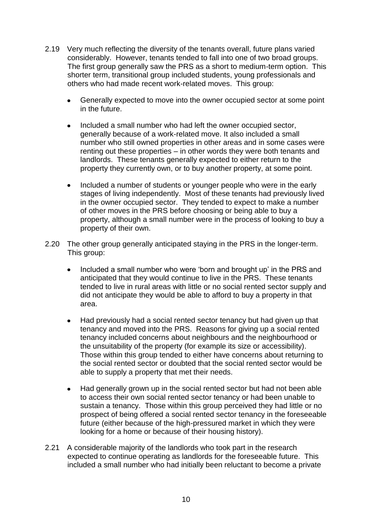- 2.19 Very much reflecting the diversity of the tenants overall, future plans varied considerably. However, tenants tended to fall into one of two broad groups. The first group generally saw the PRS as a short to medium-term option. This shorter term, transitional group included students, young professionals and others who had made recent work-related moves. This group:
	- $\bullet$ Generally expected to move into the owner occupied sector at some point in the future.
	- $\bullet$ Included a small number who had left the owner occupied sector, generally because of a work-related move. It also included a small number who still owned properties in other areas and in some cases were renting out these properties – in other words they were both tenants and landlords. These tenants generally expected to either return to the property they currently own, or to buy another property, at some point.
	- Included a number of students or younger people who were in the early  $\bullet$ stages of living independently. Most of these tenants had previously lived in the owner occupied sector. They tended to expect to make a number of other moves in the PRS before choosing or being able to buy a property, although a small number were in the process of looking to buy a property of their own.
- 2.20 The other group generally anticipated staying in the PRS in the longer-term. This group:
	- $\bullet$ Included a small number who were 'born and brought up' in the PRS and anticipated that they would continue to live in the PRS. These tenants tended to live in rural areas with little or no social rented sector supply and did not anticipate they would be able to afford to buy a property in that area.
	- Had previously had a social rented sector tenancy but had given up that  $\bullet$ tenancy and moved into the PRS. Reasons for giving up a social rented tenancy included concerns about neighbours and the neighbourhood or the unsuitability of the property (for example its size or accessibility). Those within this group tended to either have concerns about returning to the social rented sector or doubted that the social rented sector would be able to supply a property that met their needs.
	- Had generally grown up in the social rented sector but had not been able  $\bullet$ to access their own social rented sector tenancy or had been unable to sustain a tenancy. Those within this group perceived they had little or no prospect of being offered a social rented sector tenancy in the foreseeable future (either because of the high-pressured market in which they were looking for a home or because of their housing history).
- 2.21 A considerable majority of the landlords who took part in the research expected to continue operating as landlords for the foreseeable future. This included a small number who had initially been reluctant to become a private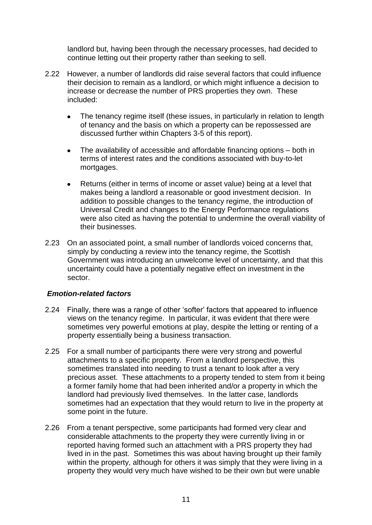landlord but, having been through the necessary processes, had decided to continue letting out their property rather than seeking to sell.

- 2.22 However, a number of landlords did raise several factors that could influence their decision to remain as a landlord, or which might influence a decision to increase or decrease the number of PRS properties they own. These included:
	- The tenancy regime itself (these issues, in particularly in relation to length  $\bullet$ of tenancy and the basis on which a property can be repossessed are discussed further within Chapters 3-5 of this report).
	- The availability of accessible and affordable financing options both in  $\bullet$ terms of interest rates and the conditions associated with buy-to-let mortgages.
	- Returns (either in terms of income or asset value) being at a level that makes being a landlord a reasonable or good investment decision. In addition to possible changes to the tenancy regime, the introduction of Universal Credit and changes to the Energy Performance regulations were also cited as having the potential to undermine the overall viability of their businesses.
- 2.23 On an associated point, a small number of landlords voiced concerns that, simply by conducting a review into the tenancy regime, the Scottish Government was introducing an unwelcome level of uncertainty, and that this uncertainty could have a potentially negative effect on investment in the sector.

#### *Emotion-related factors*

- 2.24 Finally, there was a range of other 'softer' factors that appeared to influence views on the tenancy regime. In particular, it was evident that there were sometimes very powerful emotions at play, despite the letting or renting of a property essentially being a business transaction.
- 2.25 For a small number of participants there were very strong and powerful attachments to a specific property. From a landlord perspective, this sometimes translated into needing to trust a tenant to look after a very precious asset. These attachments to a property tended to stem from it being a former family home that had been inherited and/or a property in which the landlord had previously lived themselves. In the latter case, landlords sometimes had an expectation that they would return to live in the property at some point in the future.
- 2.26 From a tenant perspective, some participants had formed very clear and considerable attachments to the property they were currently living in or reported having formed such an attachment with a PRS property they had lived in in the past. Sometimes this was about having brought up their family within the property, although for others it was simply that they were living in a property they would very much have wished to be their own but were unable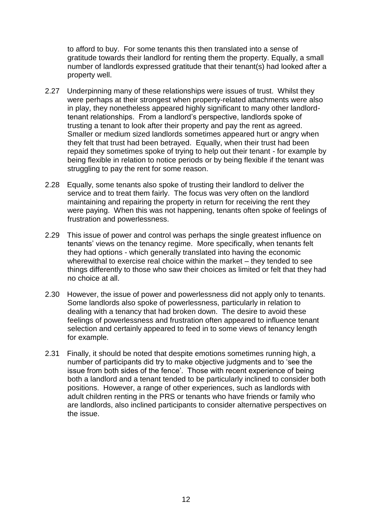to afford to buy. For some tenants this then translated into a sense of gratitude towards their landlord for renting them the property. Equally, a small number of landlords expressed gratitude that their tenant(s) had looked after a property well.

- 2.27 Underpinning many of these relationships were issues of trust. Whilst they were perhaps at their strongest when property-related attachments were also in play, they nonetheless appeared highly significant to many other landlordtenant relationships. From a landlord's perspective, landlords spoke of trusting a tenant to look after their property and pay the rent as agreed. Smaller or medium sized landlords sometimes appeared hurt or angry when they felt that trust had been betrayed. Equally, when their trust had been repaid they sometimes spoke of trying to help out their tenant - for example by being flexible in relation to notice periods or by being flexible if the tenant was struggling to pay the rent for some reason.
- 2.28 Equally, some tenants also spoke of trusting their landlord to deliver the service and to treat them fairly. The focus was very often on the landlord maintaining and repairing the property in return for receiving the rent they were paying. When this was not happening, tenants often spoke of feelings of frustration and powerlessness.
- 2.29 This issue of power and control was perhaps the single greatest influence on tenants' views on the tenancy regime. More specifically, when tenants felt they had options - which generally translated into having the economic wherewithal to exercise real choice within the market – they tended to see things differently to those who saw their choices as limited or felt that they had no choice at all.
- 2.30 However, the issue of power and powerlessness did not apply only to tenants. Some landlords also spoke of powerlessness, particularly in relation to dealing with a tenancy that had broken down. The desire to avoid these feelings of powerlessness and frustration often appeared to influence tenant selection and certainly appeared to feed in to some views of tenancy length for example.
- 2.31 Finally, it should be noted that despite emotions sometimes running high, a number of participants did try to make objective judgments and to 'see the issue from both sides of the fence'. Those with recent experience of being both a landlord and a tenant tended to be particularly inclined to consider both positions. However, a range of other experiences, such as landlords with adult children renting in the PRS or tenants who have friends or family who are landlords, also inclined participants to consider alternative perspectives on the issue.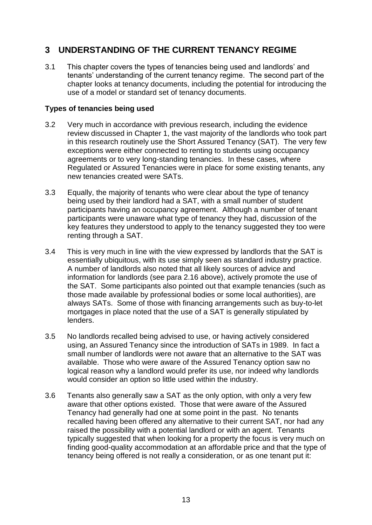# <span id="page-20-0"></span>**3 UNDERSTANDING OF THE CURRENT TENANCY REGIME**

3.1 This chapter covers the types of tenancies being used and landlords' and tenants' understanding of the current tenancy regime. The second part of the chapter looks at tenancy documents, including the potential for introducing the use of a model or standard set of tenancy documents.

## <span id="page-20-1"></span>**Types of tenancies being used**

- 3.2 Very much in accordance with previous research, including the evidence review discussed in Chapter 1, the vast majority of the landlords who took part in this research routinely use the Short Assured Tenancy (SAT). The very few exceptions were either connected to renting to students using occupancy agreements or to very long-standing tenancies. In these cases, where Regulated or Assured Tenancies were in place for some existing tenants, any new tenancies created were SATs.
- 3.3 Equally, the majority of tenants who were clear about the type of tenancy being used by their landlord had a SAT, with a small number of student participants having an occupancy agreement. Although a number of tenant participants were unaware what type of tenancy they had, discussion of the key features they understood to apply to the tenancy suggested they too were renting through a SAT.
- 3.4 This is very much in line with the view expressed by landlords that the SAT is essentially ubiquitous, with its use simply seen as standard industry practice. A number of landlords also noted that all likely sources of advice and information for landlords (see para 2.16 above), actively promote the use of the SAT. Some participants also pointed out that example tenancies (such as those made available by professional bodies or some local authorities), are always SATs. Some of those with financing arrangements such as buy-to-let mortgages in place noted that the use of a SAT is generally stipulated by lenders.
- 3.5 No landlords recalled being advised to use, or having actively considered using, an Assured Tenancy since the introduction of SATs in 1989. In fact a small number of landlords were not aware that an alternative to the SAT was available. Those who were aware of the Assured Tenancy option saw no logical reason why a landlord would prefer its use, nor indeed why landlords would consider an option so little used within the industry.
- 3.6 Tenants also generally saw a SAT as the only option, with only a very few aware that other options existed. Those that were aware of the Assured Tenancy had generally had one at some point in the past. No tenants recalled having been offered any alternative to their current SAT, nor had any raised the possibility with a potential landlord or with an agent. Tenants typically suggested that when looking for a property the focus is very much on finding good-quality accommodation at an affordable price and that the type of tenancy being offered is not really a consideration, or as one tenant put it: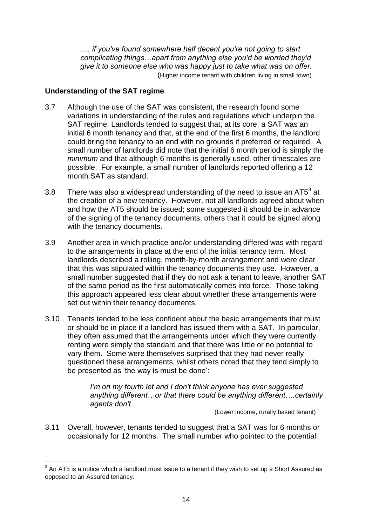*…. if you've found somewhere half decent you're not going to start complicating things…apart from anything else you'd be worried they'd give it to someone else who was happy just to take what was on offer.*  (Higher income tenant with children living in small town)

## <span id="page-21-0"></span>**Understanding of the SAT regime**

1

- 3.7 Although the use of the SAT was consistent, the research found some variations in understanding of the rules and regulations which underpin the SAT regime. Landlords tended to suggest that, at its core, a SAT was an initial 6 month tenancy and that, at the end of the first 6 months, the landlord could bring the tenancy to an end with no grounds if preferred or required. A small number of landlords did note that the initial 6 month period is simply the *minimum* and that although 6 months is generally used, other timescales are possible. For example, a small number of landlords reported offering a 12 month SAT as standard.
- 3.8 There was also a widespread understanding of the need to issue an AT5<sup>3</sup> at the creation of a new tenancy. However, not all landlords agreed about when and how the AT5 should be issued; some suggested it should be in advance of the signing of the tenancy documents, others that it could be signed along with the tenancy documents.
- 3.9 Another area in which practice and/or understanding differed was with regard to the arrangements in place at the end of the initial tenancy term. Most landlords described a rolling, month-by-month arrangement and were clear that this was stipulated within the tenancy documents they use. However, a small number suggested that if they do not ask a tenant to leave, another SAT of the same period as the first automatically comes into force. Those taking this approach appeared less clear about whether these arrangements were set out within their tenancy documents.
- 3.10 Tenants tended to be less confident about the basic arrangements that must or should be in place if a landlord has issued them with a SAT. In particular, they often assumed that the arrangements under which they were currently renting were simply the standard and that there was little or no potential to vary them. Some were themselves surprised that they had never really questioned these arrangements, whilst others noted that they tend simply to be presented as 'the way is must be done':

*I'm on my fourth let and I don't think anyone has ever suggested anything different…or that there could be anything different….certainly agents don't.* 

*(Lower income, rurally based tenant)* 

3.11 Overall, however, tenants tended to suggest that a SAT was for 6 months or occasionally for 12 months. The small number who pointed to the potential

 $3$  An AT5 is a notice which a landlord must issue to a tenant if they wish to set up a Short Assured as opposed to an Assured tenancy.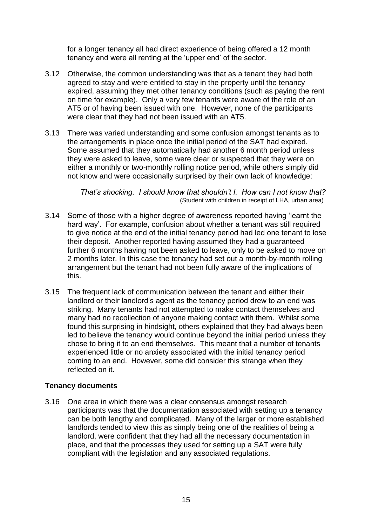for a longer tenancy all had direct experience of being offered a 12 month tenancy and were all renting at the 'upper end' of the sector.

- 3.12 Otherwise, the common understanding was that as a tenant they had both agreed to stay and were entitled to stay in the property until the tenancy expired, assuming they met other tenancy conditions (such as paying the rent on time for example). Only a very few tenants were aware of the role of an AT5 or of having been issued with one. However, none of the participants were clear that they had not been issued with an AT5.
- 3.13 There was varied understanding and some confusion amongst tenants as to the arrangements in place once the initial period of the SAT had expired. Some assumed that they automatically had another 6 month period unless they were asked to leave, some were clear or suspected that they were on either a monthly or two-monthly rolling notice period, while others simply did not know and were occasionally surprised by their own lack of knowledge:

*That's shocking. I should know that shouldn't I. How can I not know that?*  (Student with children in receipt of LHA, urban area)

- 3.14 Some of those with a higher degree of awareness reported having 'learnt the hard way'. For example, confusion about whether a tenant was still required to give notice at the end of the initial tenancy period had led one tenant to lose their deposit. Another reported having assumed they had a guaranteed further 6 months having not been asked to leave, only to be asked to move on 2 months later. In this case the tenancy had set out a month-by-month rolling arrangement but the tenant had not been fully aware of the implications of this.
- 3.15 The frequent lack of communication between the tenant and either their landlord or their landlord's agent as the tenancy period drew to an end was striking. Many tenants had not attempted to make contact themselves and many had no recollection of anyone making contact with them. Whilst some found this surprising in hindsight, others explained that they had always been led to believe the tenancy would continue beyond the initial period unless they chose to bring it to an end themselves. This meant that a number of tenants experienced little or no anxiety associated with the initial tenancy period coming to an end. However, some did consider this strange when they reflected on it.

#### <span id="page-22-0"></span>**Tenancy documents**

3.16 One area in which there was a clear consensus amongst research participants was that the documentation associated with setting up a tenancy can be both lengthy and complicated. Many of the larger or more established landlords tended to view this as simply being one of the realities of being a landlord, were confident that they had all the necessary documentation in place, and that the processes they used for setting up a SAT were fully compliant with the legislation and any associated regulations.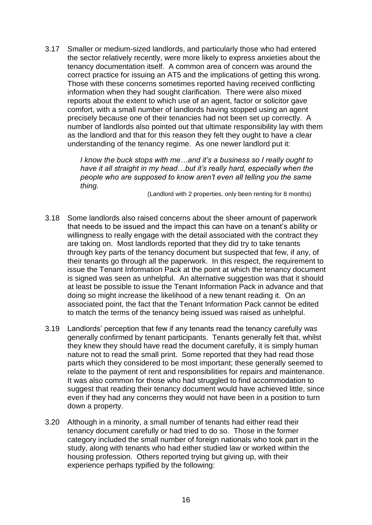3.17 Smaller or medium-sized landlords, and particularly those who had entered the sector relatively recently, were more likely to express anxieties about the tenancy documentation itself. A common area of concern was around the correct practice for issuing an AT5 and the implications of getting this wrong. Those with these concerns sometimes reported having received conflicting information when they had sought clarification. There were also mixed reports about the extent to which use of an agent, factor or solicitor gave comfort, with a small number of landlords having stopped using an agent precisely because one of their tenancies had not been set up correctly. A number of landlords also pointed out that ultimate responsibility lay with them as the landlord and that for this reason they felt they ought to have a clear understanding of the tenancy regime. As one newer landlord put it:

> *I know the buck stops with me…and it's a business so I really ought to have it all straight in my head…but it's really hard, especially when the people who are supposed to know aren't even all telling you the same thing.*

> > (Landlord with 2 properties, only been renting for 8 months)

- 3.18 Some landlords also raised concerns about the sheer amount of paperwork that needs to be issued and the impact this can have on a tenant's ability or willingness to really engage with the detail associated with the contract they are taking on. Most landlords reported that they did try to take tenants through key parts of the tenancy document but suspected that few, if any, of their tenants go through all the paperwork. In this respect, the requirement to issue the Tenant Information Pack at the point at which the tenancy document is signed was seen as unhelpful. An alternative suggestion was that it should at least be possible to issue the Tenant Information Pack in advance and that doing so might increase the likelihood of a new tenant reading it. On an associated point, the fact that the Tenant Information Pack cannot be edited to match the terms of the tenancy being issued was raised as unhelpful.
- 3.19 Landlords' perception that few if any tenants read the tenancy carefully was generally confirmed by tenant participants. Tenants generally felt that, whilst they knew they should have read the document carefully, it is simply human nature not to read the small print. Some reported that they had read those parts which they considered to be most important; these generally seemed to relate to the payment of rent and responsibilities for repairs and maintenance. It was also common for those who had struggled to find accommodation to suggest that reading their tenancy document would have achieved little, since even if they had any concerns they would not have been in a position to turn down a property.
- 3.20 Although in a minority, a small number of tenants had either read their tenancy document carefully or had tried to do so. Those in the former category included the small number of foreign nationals who took part in the study, along with tenants who had either studied law or worked within the housing profession. Others reported trying but giving up, with their experience perhaps typified by the following: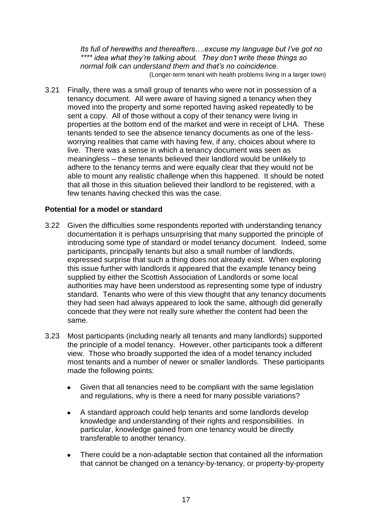*Its full of herewiths and thereafters….excuse my language but I've got no \*\*\*\* idea what they're talking about. They don't write these things so normal folk can understand them and that's no coincidence.*  (Longer-term tenant with health problems living in a larger town)

3.21 Finally, there was a small group of tenants who were not in possession of a tenancy document. All were aware of having signed a tenancy when they moved into the property and some reported having asked repeatedly to be sent a copy. All of those without a copy of their tenancy were living in properties at the bottom end of the market and were in receipt of LHA. These tenants tended to see the absence tenancy documents as one of the lessworrying realities that came with having few, if any, choices about where to live. There was a sense in which a tenancy document was seen as meaningless – these tenants believed their landlord would be unlikely to adhere to the tenancy terms and were equally clear that they would not be able to mount any realistic challenge when this happened. It should be noted that all those in this situation believed their landlord to be registered, with a few tenants having checked this was the case.

## <span id="page-24-0"></span>**Potential for a model or standard**

- 3.22 Given the difficulties some respondents reported with understanding tenancy documentation it is perhaps unsurprising that many supported the principle of introducing some type of standard or model tenancy document. Indeed, some participants, principally tenants but also a small number of landlords, expressed surprise that such a thing does not already exist. When exploring this issue further with landlords it appeared that the example tenancy being supplied by either the Scottish Association of Landlords or some local authorities may have been understood as representing some type of industry standard. Tenants who were of this view thought that any tenancy documents they had seen had always appeared to look the same, although did generally concede that they were not really sure whether the content had been the same.
- 3.23 Most participants (including nearly all tenants and many landlords) supported the principle of a model tenancy. However, other participants took a different view. Those who broadly supported the idea of a model tenancy included most tenants and a number of newer or smaller landlords. These participants made the following points:
	- Given that all tenancies need to be compliant with the same legislation  $\bullet$ and regulations, why is there a need for many possible variations?
	- A standard approach could help tenants and some landlords develop  $\bullet$ knowledge and understanding of their rights and responsibilities. In particular, knowledge gained from one tenancy would be directly transferable to another tenancy.
	- There could be a non-adaptable section that contained all the information  $\bullet$ that cannot be changed on a tenancy-by-tenancy, or property-by-property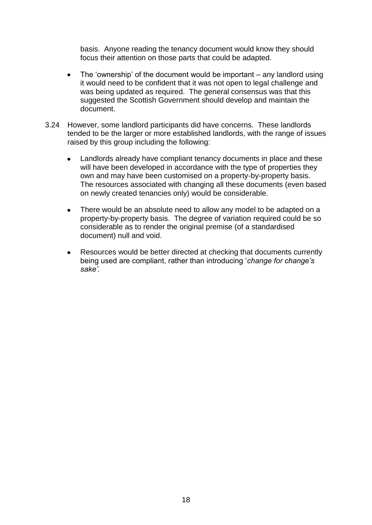basis. Anyone reading the tenancy document would know they should focus their attention on those parts that could be adapted.

- The 'ownership' of the document would be important any landlord using  $\bullet$ it would need to be confident that it was not open to legal challenge and was being updated as required. The general consensus was that this suggested the Scottish Government should develop and maintain the document.
- 3.24 However, some landlord participants did have concerns. These landlords tended to be the larger or more established landlords, with the range of issues raised by this group including the following:
	- Landlords already have compliant tenancy documents in place and these will have been developed in accordance with the type of properties they own and may have been customised on a property-by-property basis. The resources associated with changing all these documents (even based on newly created tenancies only) would be considerable.
	- There would be an absolute need to allow any model to be adapted on a  $\bullet$ property-by-property basis. The degree of variation required could be so considerable as to render the original premise (of a standardised document) null and void.
	- Resources would be better directed at checking that documents currently  $\bullet$ being used are compliant, rather than introducing '*change for change's sake'.*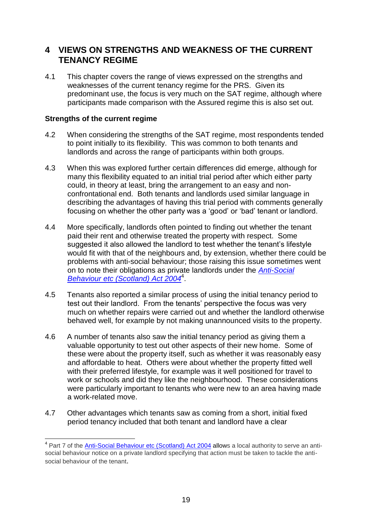# <span id="page-26-0"></span>**4 VIEWS ON STRENGTHS AND WEAKNESS OF THE CURRENT TENANCY REGIME**

4.1 This chapter covers the range of views expressed on the strengths and weaknesses of the current tenancy regime for the PRS. Given its predominant use, the focus is very much on the SAT regime, although where participants made comparison with the Assured regime this is also set out.

#### <span id="page-26-1"></span>**Strengths of the current regime**

1

- 4.2 When considering the strengths of the SAT regime, most respondents tended to point initially to its flexibility. This was common to both tenants and landlords and across the range of participants within both groups.
- 4.3 When this was explored further certain differences did emerge, although for many this flexibility equated to an initial trial period after which either party could, in theory at least, bring the arrangement to an easy and nonconfrontational end. Both tenants and landlords used similar language in describing the advantages of having this trial period with comments generally focusing on whether the other party was a 'good' or 'bad' tenant or landlord.
- 4.4 More specifically, landlords often pointed to finding out whether the tenant paid their rent and otherwise treated the property with respect. Some suggested it also allowed the landlord to test whether the tenant's lifestyle would fit with that of the neighbours and, by extension, whether there could be problems with anti-social behaviour; those raising this issue sometimes went on to note their obligations as private landlords under the *[Anti-Social](http://www.opsi.gov.uk/legislation/scotland/acts2004/asp_20040008_en_1) Behaviour etc [\(Scotland\)](http://www.opsi.gov.uk/legislation/scotland/acts2004/asp_20040008_en_1) Act 2004*<sup>4</sup> .
- 4.5 Tenants also reported a similar process of using the initial tenancy period to test out their landlord. From the tenants' perspective the focus was very much on whether repairs were carried out and whether the landlord otherwise behaved well, for example by not making unannounced visits to the property.
- 4.6 A number of tenants also saw the initial tenancy period as giving them a valuable opportunity to test out other aspects of their new home. Some of these were about the property itself, such as whether it was reasonably easy and affordable to heat. Others were about whether the property fitted well with their preferred lifestyle, for example was it well positioned for travel to work or schools and did they like the neighbourhood. These considerations were particularly important to tenants who were new to an area having made a work-related move.
- 4.7 Other advantages which tenants saw as coming from a short, initial fixed period tenancy included that both tenant and landlord have a clear

<sup>&</sup>lt;sup>4</sup> Part 7 of the *[Anti-Social](http://www.opsi.gov.uk/legislation/scotland/acts2004/asp_20040008_en_1) Behaviour etc (Scotland) Act 2004* allows a local authority to serve an antisocial behaviour notice on a private landlord specifying that action must be taken to tackle the antisocial behaviour of the tenant.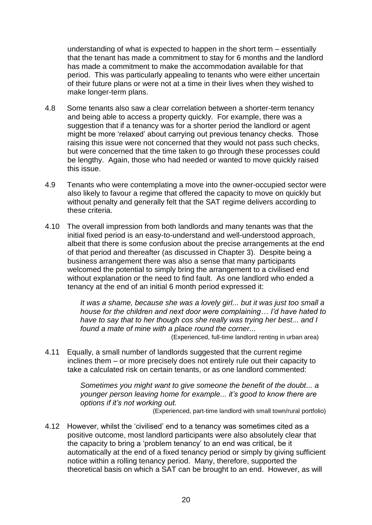understanding of what is expected to happen in the short term – essentially that the tenant has made a commitment to stay for 6 months and the landlord has made a commitment to make the accommodation available for that period. This was particularly appealing to tenants who were either uncertain of their future plans or were not at a time in their lives when they wished to make longer-term plans.

- 4.8 Some tenants also saw a clear correlation between a shorter-term tenancy and being able to access a property quickly. For example, there was a suggestion that if a tenancy was for a shorter period the landlord or agent might be more 'relaxed' about carrying out previous tenancy checks. Those raising this issue were not concerned that they would not pass such checks, but were concerned that the time taken to go through these processes could be lengthy. Again, those who had needed or wanted to move quickly raised this issue.
- 4.9 Tenants who were contemplating a move into the owner-occupied sector were also likely to favour a regime that offered the capacity to move on quickly but without penalty and generally felt that the SAT regime delivers according to these criteria.
- 4.10 The overall impression from both landlords and many tenants was that the initial fixed period is an easy-to-understand and well-understood approach, albeit that there is some confusion about the precise arrangements at the end of that period and thereafter (as discussed in Chapter 3). Despite being a business arrangement there was also a sense that many participants welcomed the potential to simply bring the arrangement to a civilised end without explanation or the need to find fault. As one landlord who ended a tenancy at the end of an initial 6 month period expressed it:

*It was a shame, because she was a lovely girl... but it was just too small a house for the children and next door were complaining… I'd have hated to have to say that to her though cos she really was trying her best... and I found a mate of mine with a place round the corner...*

(Experienced, full-time landlord renting in urban area)

4.11 Equally, a small number of landlords suggested that the current regime inclines them – or more precisely does not entirely rule out their capacity to take a calculated risk on certain tenants, or as one landlord commented:

> *Sometimes you might want to give someone the benefit of the doubt... a younger person leaving home for example... it's good to know there are options if it's not working out.*

(Experienced, part-time landlord with small town/rural portfolio)

4.12 However, whilst the 'civilised' end to a tenancy was sometimes cited as a positive outcome, most landlord participants were also absolutely clear that the capacity to bring a 'problem tenancy' to an end was critical, be it automatically at the end of a fixed tenancy period or simply by giving sufficient notice within a rolling tenancy period. Many, therefore, supported the theoretical basis on which a SAT can be brought to an end. However, as will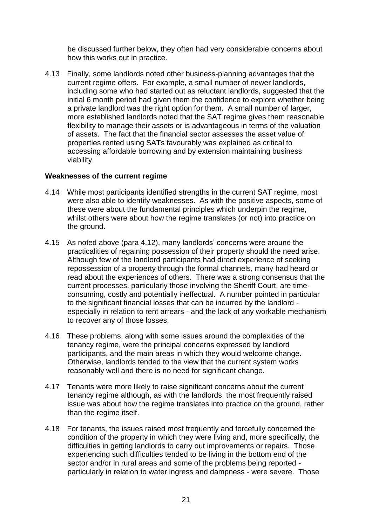be discussed further below, they often had very considerable concerns about how this works out in practice.

4.13 Finally, some landlords noted other business-planning advantages that the current regime offers. For example, a small number of newer landlords, including some who had started out as reluctant landlords, suggested that the initial 6 month period had given them the confidence to explore whether being a private landlord was the right option for them. A small number of larger, more established landlords noted that the SAT regime gives them reasonable flexibility to manage their assets or is advantageous in terms of the valuation of assets. The fact that the financial sector assesses the asset value of properties rented using SATs favourably was explained as critical to accessing affordable borrowing and by extension maintaining business viability.

#### <span id="page-28-0"></span>**Weaknesses of the current regime**

- 4.14 While most participants identified strengths in the current SAT regime, most were also able to identify weaknesses. As with the positive aspects, some of these were about the fundamental principles which underpin the regime, whilst others were about how the regime translates (or not) into practice on the ground.
- 4.15 As noted above (para 4.12), many landlords' concerns were around the practicalities of regaining possession of their property should the need arise. Although few of the landlord participants had direct experience of seeking repossession of a property through the formal channels, many had heard or read about the experiences of others. There was a strong consensus that the current processes, particularly those involving the Sheriff Court, are timeconsuming, costly and potentially ineffectual. A number pointed in particular to the significant financial losses that can be incurred by the landlord especially in relation to rent arrears - and the lack of any workable mechanism to recover any of those losses.
- 4.16 These problems, along with some issues around the complexities of the tenancy regime, were the principal concerns expressed by landlord participants, and the main areas in which they would welcome change. Otherwise, landlords tended to the view that the current system works reasonably well and there is no need for significant change.
- 4.17 Tenants were more likely to raise significant concerns about the current tenancy regime although, as with the landlords, the most frequently raised issue was about how the regime translates into practice on the ground, rather than the regime itself.
- 4.18 For tenants, the issues raised most frequently and forcefully concerned the condition of the property in which they were living and, more specifically, the difficulties in getting landlords to carry out improvements or repairs. Those experiencing such difficulties tended to be living in the bottom end of the sector and/or in rural areas and some of the problems being reported particularly in relation to water ingress and dampness - were severe. Those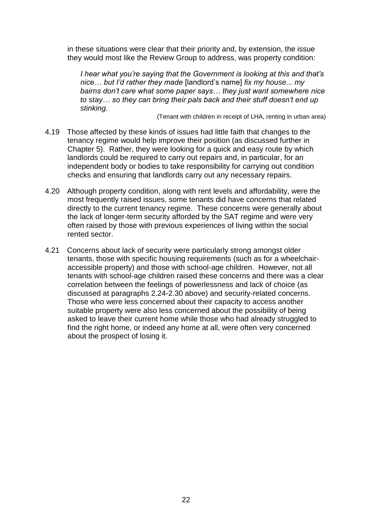in these situations were clear that their priority and, by extension, the issue they would most like the Review Group to address, was property condition:

*I hear what you're saying that the Government is looking at this and that's nice… but I'd rather they made* [landlord's name] *fix my house... my bairns don't care what some paper says… they just want somewhere nice to stay… so they can bring their pals back and their stuff doesn't end up stinking.* 

(Tenant with children in receipt of LHA, renting in urban area)

- 4.19 Those affected by these kinds of issues had little faith that changes to the tenancy regime would help improve their position (as discussed further in Chapter 5). Rather, they were looking for a quick and easy route by which landlords could be required to carry out repairs and, in particular, for an independent body or bodies to take responsibility for carrying out condition checks and ensuring that landlords carry out any necessary repairs.
- 4.20 Although property condition, along with rent levels and affordability, were the most frequently raised issues, some tenants did have concerns that related directly to the current tenancy regime. These concerns were generally about the lack of longer-term security afforded by the SAT regime and were very often raised by those with previous experiences of living within the social rented sector.
- 4.21 Concerns about lack of security were particularly strong amongst older tenants, those with specific housing requirements (such as for a wheelchairaccessible property) and those with school-age children. However, not all tenants with school-age children raised these concerns and there was a clear correlation between the feelings of powerlessness and lack of choice (as discussed at paragraphs 2.24-2.30 above) and security-related concerns. Those who were less concerned about their capacity to access another suitable property were also less concerned about the possibility of being asked to leave their current home while those who had already struggled to find the right home, or indeed any home at all, were often very concerned about the prospect of losing it.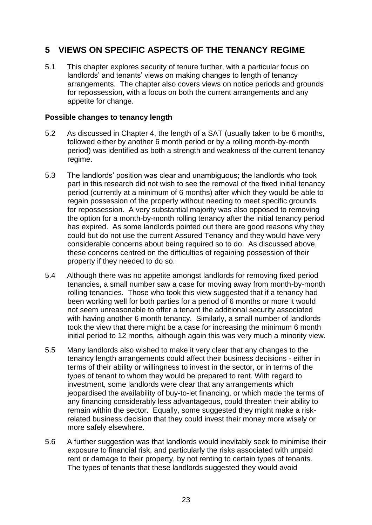# <span id="page-30-0"></span>**5 VIEWS ON SPECIFIC ASPECTS OF THE TENANCY REGIME**

5.1 This chapter explores security of tenure further, with a particular focus on landlords' and tenants' views on making changes to length of tenancy arrangements. The chapter also covers views on notice periods and grounds for repossession, with a focus on both the current arrangements and any appetite for change.

#### <span id="page-30-1"></span>**Possible changes to tenancy length**

- 5.2 As discussed in Chapter 4, the length of a SAT (usually taken to be 6 months, followed either by another 6 month period or by a rolling month-by-month period) was identified as both a strength and weakness of the current tenancy regime.
- 5.3 The landlords' position was clear and unambiguous; the landlords who took part in this research did not wish to see the removal of the fixed initial tenancy period (currently at a minimum of 6 months) after which they would be able to regain possession of the property without needing to meet specific grounds for repossession. A very substantial majority was also opposed to removing the option for a month-by-month rolling tenancy after the initial tenancy period has expired. As some landlords pointed out there are good reasons why they could but do not use the current Assured Tenancy and they would have very considerable concerns about being required so to do. As discussed above, these concerns centred on the difficulties of regaining possession of their property if they needed to do so.
- 5.4 Although there was no appetite amongst landlords for removing fixed period tenancies, a small number saw a case for moving away from month-by-month rolling tenancies. Those who took this view suggested that if a tenancy had been working well for both parties for a period of 6 months or more it would not seem unreasonable to offer a tenant the additional security associated with having another 6 month tenancy. Similarly, a small number of landlords took the view that there might be a case for increasing the minimum 6 month initial period to 12 months, although again this was very much a minority view.
- 5.5 Many landlords also wished to make it very clear that any changes to the tenancy length arrangements could affect their business decisions - either in terms of their ability or willingness to invest in the sector, or in terms of the types of tenant to whom they would be prepared to rent. With regard to investment, some landlords were clear that any arrangements which jeopardised the availability of buy-to-let financing, or which made the terms of any financing considerably less advantageous, could threaten their ability to remain within the sector. Equally, some suggested they might make a riskrelated business decision that they could invest their money more wisely or more safely elsewhere.
- 5.6 A further suggestion was that landlords would inevitably seek to minimise their exposure to financial risk, and particularly the risks associated with unpaid rent or damage to their property, by not renting to certain types of tenants. The types of tenants that these landlords suggested they would avoid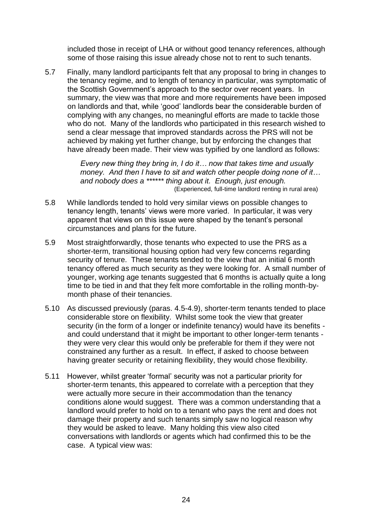included those in receipt of LHA or without good tenancy references, although some of those raising this issue already chose not to rent to such tenants.

5.7 Finally, many landlord participants felt that any proposal to bring in changes to the tenancy regime, and to length of tenancy in particular, was symptomatic of the Scottish Government's approach to the sector over recent years. In summary, the view was that more and more requirements have been imposed on landlords and that, while 'good' landlords bear the considerable burden of complying with any changes, no meaningful efforts are made to tackle those who do not. Many of the landlords who participated in this research wished to send a clear message that improved standards across the PRS will not be achieved by making yet further change, but by enforcing the changes that have already been made. Their view was typified by one landlord as follows:

> *Every new thing they bring in, I do it… now that takes time and usually money. And then I have to sit and watch other people doing none of it… and nobody does a \*\*\*\*\*\* thing about it. Enough, just enough.* (Experienced, full-time landlord renting in rural area)

- 5.8 While landlords tended to hold very similar views on possible changes to tenancy length, tenants' views were more varied. In particular, it was very apparent that views on this issue were shaped by the tenant's personal circumstances and plans for the future.
- 5.9 Most straightforwardly, those tenants who expected to use the PRS as a shorter-term, transitional housing option had very few concerns regarding security of tenure. These tenants tended to the view that an initial 6 month tenancy offered as much security as they were looking for. A small number of younger, working age tenants suggested that 6 months is actually quite a long time to be tied in and that they felt more comfortable in the rolling month-bymonth phase of their tenancies.
- 5.10 As discussed previously (paras. 4.5-4.9), shorter-term tenants tended to place considerable store on flexibility. Whilst some took the view that greater security (in the form of a longer or indefinite tenancy) would have its benefits and could understand that it might be important to other longer-term tenants they were very clear this would only be preferable for them if they were not constrained any further as a result. In effect, if asked to choose between having greater security or retaining flexibility, they would chose flexibility.
- 5.11 However, whilst greater 'formal' security was not a particular priority for shorter-term tenants, this appeared to correlate with a perception that they were actually more secure in their accommodation than the tenancy conditions alone would suggest. There was a common understanding that a landlord would prefer to hold on to a tenant who pays the rent and does not damage their property and such tenants simply saw no logical reason why they would be asked to leave. Many holding this view also cited conversations with landlords or agents which had confirmed this to be the case. A typical view was: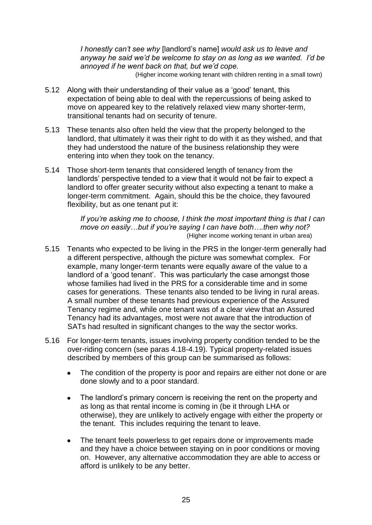*I honestly can't see why* [landlord's name] *would ask us to leave and anyway he said we'd be welcome to stay on as long as we wanted. I'd be annoyed if he went back on that, but we'd cope.*

- (Higher income working tenant with children renting in a small town)
- 5.12 Along with their understanding of their value as a 'good' tenant, this expectation of being able to deal with the repercussions of being asked to move on appeared key to the relatively relaxed view many shorter-term, transitional tenants had on security of tenure.
- 5.13 These tenants also often held the view that the property belonged to the landlord, that ultimately it was their right to do with it as they wished, and that they had understood the nature of the business relationship they were entering into when they took on the tenancy.
- 5.14 Those short-term tenants that considered length of tenancy from the landlords' perspective tended to a view that it would not be fair to expect a landlord to offer greater security without also expecting a tenant to make a longer-term commitment. Again, should this be the choice, they favoured flexibility, but as one tenant put it:

*If you're asking me to choose, I think the most important thing is that I can move on easily…but if you're saying I can have both….then why not?* (Higher income working tenant in urban area)

- 5.15 Tenants who expected to be living in the PRS in the longer-term generally had a different perspective, although the picture was somewhat complex. For example, many longer-term tenants were equally aware of the value to a landlord of a 'good tenant'. This was particularly the case amongst those whose families had lived in the PRS for a considerable time and in some cases for generations. These tenants also tended to be living in rural areas. A small number of these tenants had previous experience of the Assured Tenancy regime and, while one tenant was of a clear view that an Assured Tenancy had its advantages, most were not aware that the introduction of SATs had resulted in significant changes to the way the sector works.
- 5.16 For longer-term tenants, issues involving property condition tended to be the over-riding concern (see paras 4.18-4.19). Typical property-related issues described by members of this group can be summarised as follows:
	- The condition of the property is poor and repairs are either not done or are done slowly and to a poor standard.
	- $\bullet$ The landlord's primary concern is receiving the rent on the property and as long as that rental income is coming in (be it through LHA or otherwise), they are unlikely to actively engage with either the property or the tenant. This includes requiring the tenant to leave.
	- The tenant feels powerless to get repairs done or improvements made  $\bullet$ and they have a choice between staying on in poor conditions or moving on. However, any alternative accommodation they are able to access or afford is unlikely to be any better.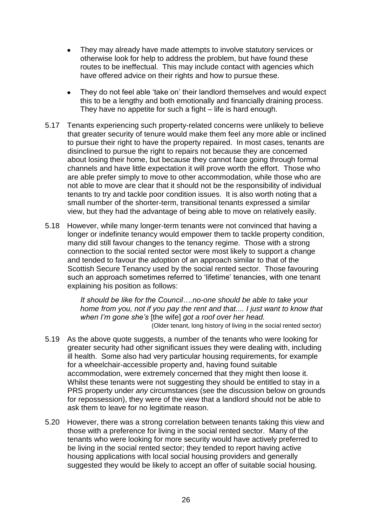- They may already have made attempts to involve statutory services or otherwise look for help to address the problem, but have found these routes to be ineffectual. This may include contact with agencies which have offered advice on their rights and how to pursue these.
- They do not feel able 'take on' their landlord themselves and would expect this to be a lengthy and both emotionally and financially draining process. They have no appetite for such a fight – life is hard enough.
- 5.17 Tenants experiencing such property-related concerns were unlikely to believe that greater security of tenure would make them feel any more able or inclined to pursue their right to have the property repaired. In most cases, tenants are disinclined to pursue the right to repairs not because they are concerned about losing their home, but because they cannot face going through formal channels and have little expectation it will prove worth the effort. Those who are able prefer simply to move to other accommodation, while those who are not able to move are clear that it should not be the responsibility of individual tenants to try and tackle poor condition issues. It is also worth noting that a small number of the shorter-term, transitional tenants expressed a similar view, but they had the advantage of being able to move on relatively easily.
- 5.18 However, while many longer-term tenants were not convinced that having a longer or indefinite tenancy would empower them to tackle property condition, many did still favour changes to the tenancy regime. Those with a strong connection to the social rented sector were most likely to support a change and tended to favour the adoption of an approach similar to that of the Scottish Secure Tenancy used by the social rented sector. Those favouring such an approach sometimes referred to 'lifetime' tenancies, with one tenant explaining his position as follows:

*It should be like for the Council….no-one should be able to take your home from you, not if you pay the rent and that.... I just want to know that when I'm gone she's* [the wife] *got a roof over her head.*

*(Older tenant, long history of living in the social rented sector)* 

- 5.19 As the above quote suggests, a number of the tenants who were looking for greater security had other significant issues they were dealing with, including ill health. Some also had very particular housing requirements, for example for a wheelchair-accessible property and, having found suitable accommodation, were extremely concerned that they might then loose it. Whilst these tenants were not suggesting they should be entitled to stay in a PRS property under *any* circumstances (see the discussion below on grounds for repossession), they were of the view that a landlord should not be able to ask them to leave for no legitimate reason.
- 5.20 However, there was a strong correlation between tenants taking this view and those with a preference for living in the social rented sector. Many of the tenants who were looking for more security would have actively preferred to be living in the social rented sector; they tended to report having active housing applications with local social housing providers and generally suggested they would be likely to accept an offer of suitable social housing.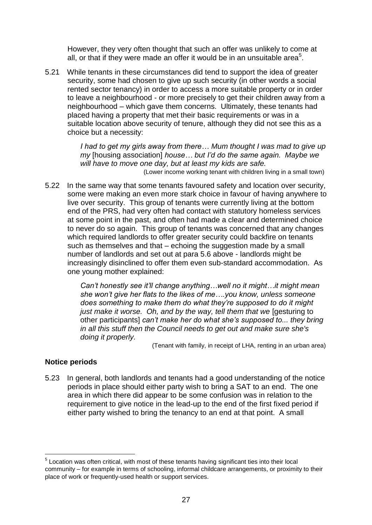However, they very often thought that such an offer was unlikely to come at all, or that if they were made an offer it would be in an unsuitable area<sup>5</sup>.

5.21 While tenants in these circumstances did tend to support the idea of greater security, some had chosen to give up such security (in other words a social rented sector tenancy) in order to access a more suitable property or in order to leave a neighbourhood - or more precisely to get their children away from a neighbourhood – which gave them concerns. Ultimately, these tenants had placed having a property that met their basic requirements or was in a suitable location above security of tenure, although they did not see this as a choice but a necessity:

> *I had to get my girls away from there… Mum thought I was mad to give up my* [housing association] *house… but I'd do the same again. Maybe we will have to move one day, but at least my kids are safe.*

(Lower income working tenant with children living in a small town)

5.22 In the same way that some tenants favoured safety and location over security, some were making an even more stark choice in favour of having anywhere to live over security. This group of tenants were currently living at the bottom end of the PRS, had very often had contact with statutory homeless services at some point in the past, and often had made a clear and determined choice to never do so again. This group of tenants was concerned that any changes which required landlords to offer greater security could backfire on tenants such as themselves and that – echoing the suggestion made by a small number of landlords and set out at para 5.6 above - landlords might be increasingly disinclined to offer them even sub-standard accommodation. As one young mother explained:

> *Can't honestly see it'll change anything…well no it might…it might mean she won't give her flats to the likes of me….you know, unless someone does something to make them do what they're supposed to do it might*  just make it worse. Oh, and by the way, tell them that we losesturing to other participants] *can't make her do what she's supposed to... they bring in all this stuff then the Council needs to get out and make sure she's doing it properly.*

> > (Tenant with family, in receipt of LHA, renting in an urban area)

# <span id="page-34-0"></span>**Notice periods**

1

5.23 In general, both landlords and tenants had a good understanding of the notice periods in place should either party wish to bring a SAT to an end. The one area in which there did appear to be some confusion was in relation to the requirement to give notice in the lead-up to the end of the first fixed period if either party wished to bring the tenancy to an end at that point. A small

<sup>&</sup>lt;sup>5</sup> Location was often critical, with most of these tenants having significant ties into their local community – for example in terms of schooling, informal childcare arrangements, or proximity to their place of work or frequently-used health or support services.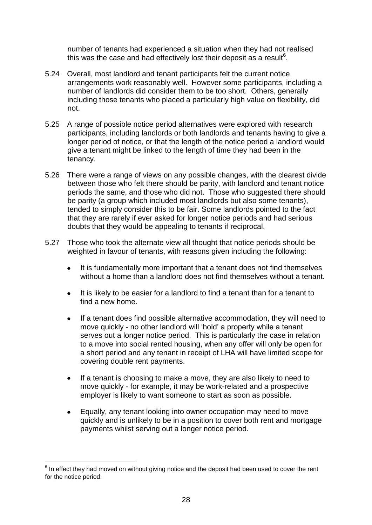number of tenants had experienced a situation when they had not realised this was the case and had effectively lost their deposit as a result<sup>6</sup>.

- 5.24 Overall, most landlord and tenant participants felt the current notice arrangements work reasonably well. However some participants, including a number of landlords did consider them to be too short. Others, generally including those tenants who placed a particularly high value on flexibility, did not.
- 5.25 A range of possible notice period alternatives were explored with research participants, including landlords or both landlords and tenants having to give a longer period of notice, or that the length of the notice period a landlord would give a tenant might be linked to the length of time they had been in the tenancy.
- 5.26 There were a range of views on any possible changes, with the clearest divide between those who felt there should be parity, with landlord and tenant notice periods the same, and those who did not. Those who suggested there should be parity (a group which included most landlords but also some tenants), tended to simply consider this to be fair. Some landlords pointed to the fact that they are rarely if ever asked for longer notice periods and had serious doubts that they would be appealing to tenants if reciprocal.
- 5.27 Those who took the alternate view all thought that notice periods should be weighted in favour of tenants, with reasons given including the following:
	- It is fundamentally more important that a tenant does not find themselves  $\bullet$ without a home than a landlord does not find themselves without a tenant.
	- It is likely to be easier for a landlord to find a tenant than for a tenant to  $\bullet$ find a new home.
	- $\bullet$ If a tenant does find possible alternative accommodation, they will need to move quickly - no other landlord will 'hold' a property while a tenant serves out a longer notice period. This is particularly the case in relation to a move into social rented housing, when any offer will only be open for a short period and any tenant in receipt of LHA will have limited scope for covering double rent payments.
	- If a tenant is choosing to make a move, they are also likely to need to  $\bullet$ move quickly - for example, it may be work-related and a prospective employer is likely to want someone to start as soon as possible.
	- $\bullet$ Equally, any tenant looking into owner occupation may need to move quickly and is unlikely to be in a position to cover both rent and mortgage payments whilst serving out a longer notice period.

1

 $6$  In effect they had moved on without giving notice and the deposit had been used to cover the rent for the notice period.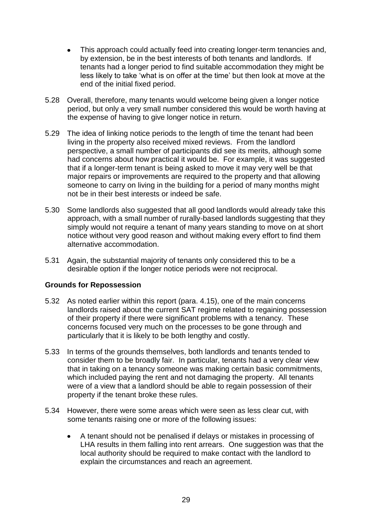- This approach could actually feed into creating longer-term tenancies and,  $\bullet$ by extension, be in the best interests of both tenants and landlords. If tenants had a longer period to find suitable accommodation they might be less likely to take 'what is on offer at the time' but then look at move at the end of the initial fixed period.
- 5.28 Overall, therefore, many tenants would welcome being given a longer notice period, but only a very small number considered this would be worth having at the expense of having to give longer notice in return.
- 5.29 The idea of linking notice periods to the length of time the tenant had been living in the property also received mixed reviews. From the landlord perspective, a small number of participants did see its merits, although some had concerns about how practical it would be. For example, it was suggested that if a longer-term tenant is being asked to move it may very well be that major repairs or improvements are required to the property and that allowing someone to carry on living in the building for a period of many months might not be in their best interests or indeed be safe.
- 5.30 Some landlords also suggested that all good landlords would already take this approach, with a small number of rurally-based landlords suggesting that they simply would not require a tenant of many years standing to move on at short notice without very good reason and without making every effort to find them alternative accommodation.
- 5.31 Again, the substantial majority of tenants only considered this to be a desirable option if the longer notice periods were not reciprocal.

#### <span id="page-36-0"></span>**Grounds for Repossession**

- 5.32 As noted earlier within this report (para. 4.15), one of the main concerns landlords raised about the current SAT regime related to regaining possession of their property if there were significant problems with a tenancy. These concerns focused very much on the processes to be gone through and particularly that it is likely to be both lengthy and costly.
- 5.33 In terms of the grounds themselves, both landlords and tenants tended to consider them to be broadly fair. In particular, tenants had a very clear view that in taking on a tenancy someone was making certain basic commitments, which included paying the rent and not damaging the property. All tenants were of a view that a landlord should be able to regain possession of their property if the tenant broke these rules.
- 5.34 However, there were some areas which were seen as less clear cut, with some tenants raising one or more of the following issues:
	- A tenant should not be penalised if delays or mistakes in processing of  $\bullet$ LHA results in them falling into rent arrears. One suggestion was that the local authority should be required to make contact with the landlord to explain the circumstances and reach an agreement.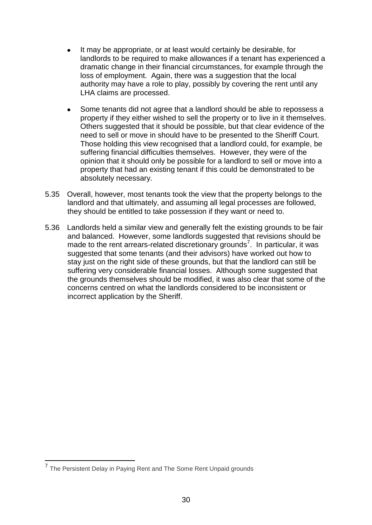- It may be appropriate, or at least would certainly be desirable, for  $\bullet$ landlords to be required to make allowances if a tenant has experienced a dramatic change in their financial circumstances, for example through the loss of employment. Again, there was a suggestion that the local authority may have a role to play, possibly by covering the rent until any LHA claims are processed.
- Some tenants did not agree that a landlord should be able to repossess a  $\bullet$ property if they either wished to sell the property or to live in it themselves. Others suggested that it should be possible, but that clear evidence of the need to sell or move in should have to be presented to the Sheriff Court. Those holding this view recognised that a landlord could, for example, be suffering financial difficulties themselves. However, they were of the opinion that it should only be possible for a landlord to sell or move into a property that had an existing tenant if this could be demonstrated to be absolutely necessary.
- 5.35 Overall, however, most tenants took the view that the property belongs to the landlord and that ultimately, and assuming all legal processes are followed, they should be entitled to take possession if they want or need to.
- 5.36 Landlords held a similar view and generally felt the existing grounds to be fair and balanced. However, some landlords suggested that revisions should be made to the rent arrears-related discretionary grounds<sup>7</sup>. In particular, it was suggested that some tenants (and their advisors) have worked out how to stay just on the right side of these grounds, but that the landlord can still be suffering very considerable financial losses. Although some suggested that the grounds themselves should be modified, it was also clear that some of the concerns centred on what the landlords considered to be inconsistent or incorrect application by the Sheriff.

<u>.</u>

<sup>&</sup>lt;sup>7</sup> The Persistent Delay in Paying Rent and The Some Rent Unpaid grounds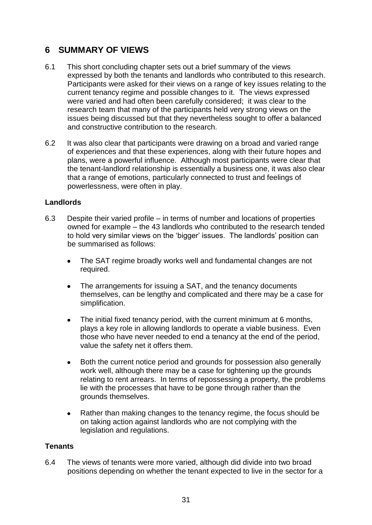# <span id="page-38-0"></span>**6 SUMMARY OF VIEWS**

- 6.1 This short concluding chapter sets out a brief summary of the views expressed by both the tenants and landlords who contributed to this research. Participants were asked for their views on a range of key issues relating to the current tenancy regime and possible changes to it. The views expressed were varied and had often been carefully considered; it was clear to the research team that many of the participants held very strong views on the issues being discussed but that they nevertheless sought to offer a balanced and constructive contribution to the research.
- 6.2 It was also clear that participants were drawing on a broad and varied range of experiences and that these experiences, along with their future hopes and plans, were a powerful influence. Although most participants were clear that the tenant-landlord relationship is essentially a business one, it was also clear that a range of emotions, particularly connected to trust and feelings of powerlessness, were often in play.

## <span id="page-38-1"></span>**Landlords**

- 6.3 Despite their varied profile in terms of number and locations of properties owned for example – the 43 landlords who contributed to the research tended to hold very similar views on the 'bigger' issues. The landlords' position can be summarised as follows:
	- The SAT regime broadly works well and fundamental changes are not required.
	- The arrangements for issuing a SAT, and the tenancy documents  $\bullet$ themselves, can be lengthy and complicated and there may be a case for simplification.
	- The initial fixed tenancy period, with the current minimum at 6 months,  $\bullet$ plays a key role in allowing landlords to operate a viable business. Even those who have never needed to end a tenancy at the end of the period, value the safety net it offers them.
	- Both the current notice period and grounds for possession also generally  $\bullet$ work well, although there may be a case for tightening up the grounds relating to rent arrears. In terms of repossessing a property, the problems lie with the processes that have to be gone through rather than the grounds themselves.
	- Rather than making changes to the tenancy regime, the focus should be  $\bullet$ on taking action against landlords who are not complying with the legislation and regulations.

# <span id="page-38-2"></span>**Tenants**

6.4 The views of tenants were more varied, although did divide into two broad positions depending on whether the tenant expected to live in the sector for a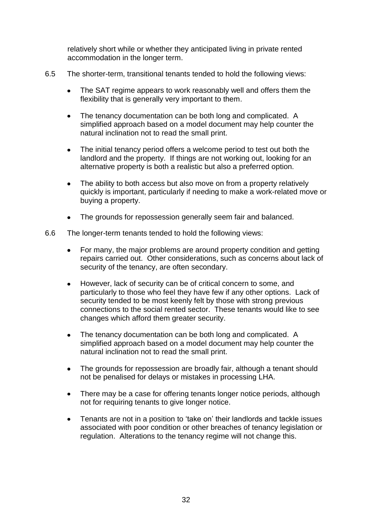relatively short while or whether they anticipated living in private rented accommodation in the longer term.

- 6.5 The shorter-term, transitional tenants tended to hold the following views:
	- The SAT regime appears to work reasonably well and offers them the  $\bullet$ flexibility that is generally very important to them.
	- The tenancy documentation can be both long and complicated. A  $\bullet$ simplified approach based on a model document may help counter the natural inclination not to read the small print.
	- The initial tenancy period offers a welcome period to test out both the  $\bullet$ landlord and the property. If things are not working out, looking for an alternative property is both a realistic but also a preferred option.
	- The ability to both access but also move on from a property relatively quickly is important, particularly if needing to make a work-related move or buying a property.
	- The grounds for repossession generally seem fair and balanced.
- 6.6 The longer-term tenants tended to hold the following views:
	- For many, the major problems are around property condition and getting repairs carried out. Other considerations, such as concerns about lack of security of the tenancy, are often secondary.
	- However, lack of security can be of critical concern to some, and  $\bullet$ particularly to those who feel they have few if any other options. Lack of security tended to be most keenly felt by those with strong previous connections to the social rented sector. These tenants would like to see changes which afford them greater security.
	- The tenancy documentation can be both long and complicated. A  $\bullet$ simplified approach based on a model document may help counter the natural inclination not to read the small print.
	- The grounds for repossession are broadly fair, although a tenant should  $\bullet$ not be penalised for delays or mistakes in processing LHA.
	- There may be a case for offering tenants longer notice periods, although not for requiring tenants to give longer notice.
	- $\bullet$ Tenants are not in a position to 'take on' their landlords and tackle issues associated with poor condition or other breaches of tenancy legislation or regulation. Alterations to the tenancy regime will not change this.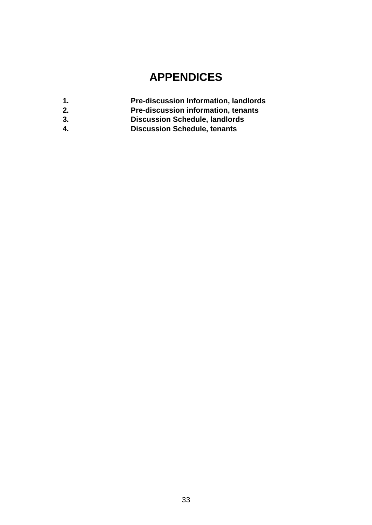# **APPENDICES**

- **1. Pre-discussion Information, landlords**
- **2. Pre-discussion information, tenants**
- **3. Discussion Schedule, landlords**
- **4. Discussion Schedule, tenants**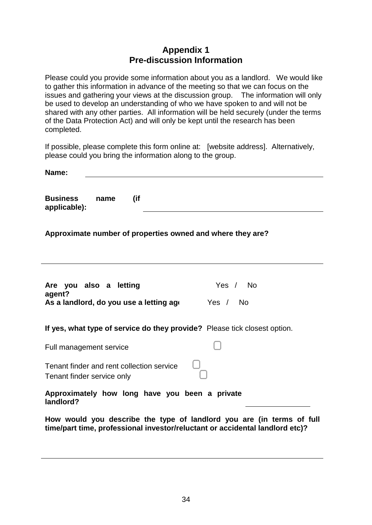# **Appendix 1 Pre-discussion Information**

Please could you provide some information about you as a landlord. We would like to gather this information in advance of the meeting so that we can focus on the issues and gathering your views at the discussion group. The information will only be used to develop an understanding of who we have spoken to and will not be shared with any other parties. All information will be held securely (under the terms of the Data Protection Act) and will only be kept until the research has been completed.

If possible, please complete this form online at: [website address]. Alternatively, please could you bring the information along to the group.

| Name:                                                                                                                                                 |             |
|-------------------------------------------------------------------------------------------------------------------------------------------------------|-------------|
| <b>Business</b><br>(if<br>name<br>applicable):                                                                                                        |             |
| Approximate number of properties owned and where they are?                                                                                            |             |
|                                                                                                                                                       |             |
| Are you also a letting<br>agent?                                                                                                                      | Yes / No    |
| As a landlord, do you use a letting ago                                                                                                               | Yes /<br>No |
| If yes, what type of service do they provide? Please tick closest option.                                                                             |             |
| Full management service                                                                                                                               |             |
| Tenant finder and rent collection service<br>Tenant finder service only                                                                               |             |
| Approximately how long have you been a private<br>landlord?                                                                                           |             |
| How would you describe the type of landlord you are (in terms of full<br>time/part time, professional investor/reluctant or accidental landlord etc)? |             |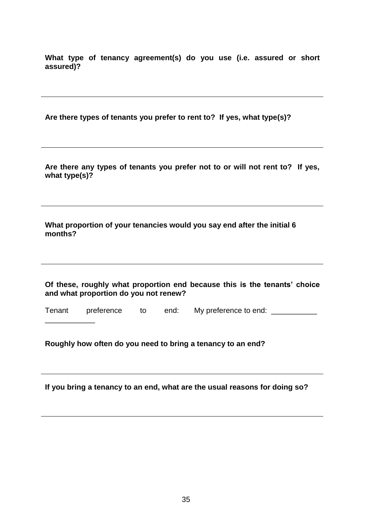**What type of tenancy agreement(s) do you use (i.e. assured or short assured)?**

**Are there types of tenants you prefer to rent to? If yes, what type(s)?**

**Are there any types of tenants you prefer not to or will not rent to? If yes, what type(s)?** 

**What proportion of your tenancies would you say end after the initial 6 months?** 

**Of these, roughly what proportion end because this is the tenants' choice and what proportion do you not renew?**

Tenant preference to end: My preference to end: \_\_\_\_\_\_\_\_\_\_\_\_

**Roughly how often do you need to bring a tenancy to an end?** 

\_\_\_\_\_\_\_\_\_\_\_\_

**If you bring a tenancy to an end, what are the usual reasons for doing so?**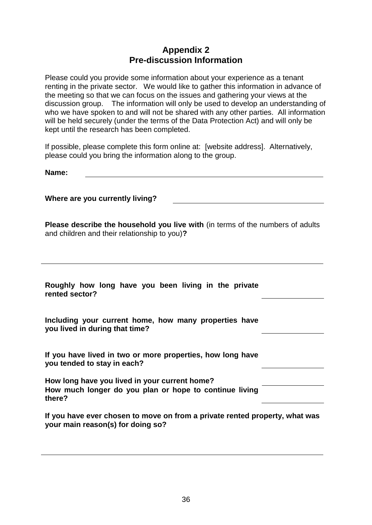# **Appendix 2 Pre-discussion Information**

Please could you provide some information about your experience as a tenant renting in the private sector. We would like to gather this information in advance of the meeting so that we can focus on the issues and gathering your views at the discussion group. The information will only be used to develop an understanding of who we have spoken to and will not be shared with any other parties. All information will be held securely (under the terms of the Data Protection Act) and will only be kept until the research has been completed.

If possible, please complete this form online at: [website address]. Alternatively, please could you bring the information along to the group.

**Name:** 

**Where are you currently living?** 

**Please describe the household you live with** (in terms of the numbers of adults and children and their relationship to you)**?**

| Roughly how long have you been living in the private |  |  |  |  |  |
|------------------------------------------------------|--|--|--|--|--|
| rented sector?                                       |  |  |  |  |  |

|                                |  |  | Including your current home, how many properties have |  |
|--------------------------------|--|--|-------------------------------------------------------|--|
| you lived in during that time? |  |  |                                                       |  |

| If you have lived in two or more properties, how long have |  |  |
|------------------------------------------------------------|--|--|
| you tended to stay in each?                                |  |  |

| How long have you lived in your current home?          |  |
|--------------------------------------------------------|--|
| How much longer do you plan or hope to continue living |  |
| there?                                                 |  |

**If you have ever chosen to move on from a private rented property, what was your main reason(s) for doing so?**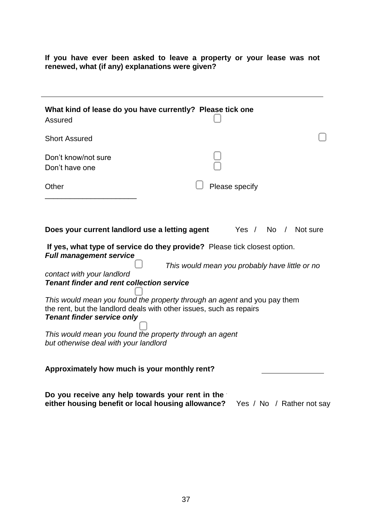**If you have ever been asked to leave a property or your lease was not renewed, what (if any) explanations were given?** 

| What kind of lease do you have currently? Please tick one<br>Assured                                                                |                                         |  |  |  |
|-------------------------------------------------------------------------------------------------------------------------------------|-----------------------------------------|--|--|--|
| <b>Short Assured</b>                                                                                                                |                                         |  |  |  |
| Don't know/not sure<br>Don't have one                                                                                               |                                         |  |  |  |
| Other                                                                                                                               | Please specify                          |  |  |  |
|                                                                                                                                     |                                         |  |  |  |
| Does your current landlord use a letting agent                                                                                      | No<br>Not sure<br>Yes $/$<br>$\sqrt{2}$ |  |  |  |
| If yes, what type of service do they provide? Please tick closest option.<br><b>Full management service</b>                         |                                         |  |  |  |
| This would mean you probably have little or no                                                                                      |                                         |  |  |  |
| contact with your landlord<br><b>Tenant finder and rent collection service</b>                                                      |                                         |  |  |  |
|                                                                                                                                     |                                         |  |  |  |
| This would mean you found the property through an agent and you pay them                                                            |                                         |  |  |  |
| the rent, but the landlord deals with other issues, such as repairs                                                                 |                                         |  |  |  |
| <b>Tenant finder service only</b>                                                                                                   |                                         |  |  |  |
| This would mean you found the property through an agent<br>but otherwise deal with your landlord                                    |                                         |  |  |  |
| Approximately how much is your monthly rent?                                                                                        |                                         |  |  |  |
| Do you receive any help towards your rent in the<br>either housing benefit or local housing allowance?<br>Yes / No / Rather not say |                                         |  |  |  |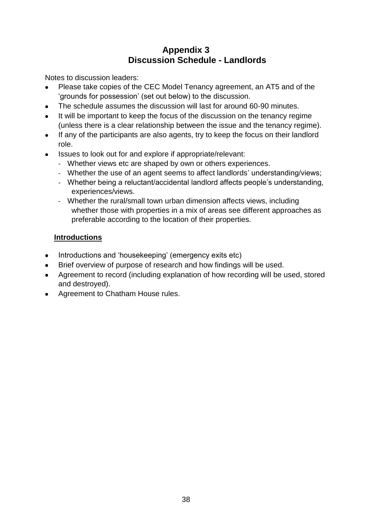# **Appendix 3 Discussion Schedule - Landlords**

Notes to discussion leaders:

- Please take copies of the CEC Model Tenancy agreement, an AT5 and of the  $\bullet$ 'grounds for possession' (set out below) to the discussion.
- The schedule assumes the discussion will last for around 60-90 minutes.  $\bullet$
- It will be important to keep the focus of the discussion on the tenancy regime  $\bullet$ (unless there is a clear relationship between the issue and the tenancy regime).
- If any of the participants are also agents, try to keep the focus on their landlord  $\bullet$ role.
- Issues to look out for and explore if appropriate/relevant:
	- Whether views etc are shaped by own or others experiences.
	- Whether the use of an agent seems to affect landlords' understanding/views;
	- Whether being a reluctant/accidental landlord affects people's understanding, experiences/views.
	- Whether the rural/small town urban dimension affects views, including whether those with properties in a mix of areas see different approaches as preferable according to the location of their properties.

# **Introductions**

- Introductions and 'housekeeping' (emergency exits etc)
- Brief overview of purpose of research and how findings will be used.
- Agreement to record (including explanation of how recording will be used, stored and destroyed).
- Agreement to Chatham House rules.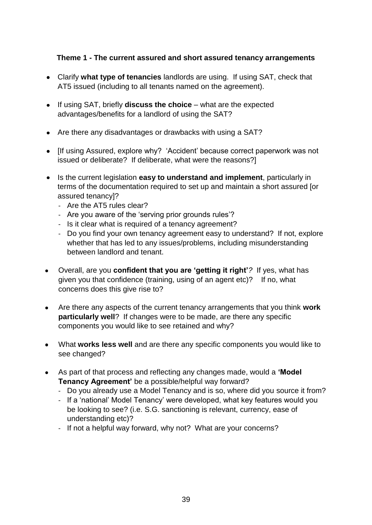# **Theme 1 - The current assured and short assured tenancy arrangements**

- Clarify **what type of tenancies** landlords are using. If using SAT, check that AT5 issued (including to all tenants named on the agreement).
- If using SAT, briefly **discuss the choice** what are the expected advantages/benefits for a landlord of using the SAT?
- Are there any disadvantages or drawbacks with using a SAT?
- If using Assured, explore why? 'Accident' because correct paperwork was not issued or deliberate? If deliberate, what were the reasons?]
- Is the current legislation **easy to understand and implement**, particularly in terms of the documentation required to set up and maintain a short assured [or assured tenancy]?
	- Are the AT5 rules clear?
	- Are you aware of the 'serving prior grounds rules'?
	- Is it clear what is required of a tenancy agreement?
	- Do you find your own tenancy agreement easy to understand? If not, explore whether that has led to any issues/problems, including misunderstanding between landlord and tenant.
- Overall, are you **confident that you are 'getting it right'***?* If yes, what has given you that confidence (training, using of an agent etc)? If no, what concerns does this give rise to?
- Are there any aspects of the current tenancy arrangements that you think **work particularly well**? If changes were to be made, are there any specific components you would like to see retained and why?
- What **works less well** and are there any specific components you would like to see changed?
- As part of that process and reflecting any changes made, would a **'Model Tenancy Agreement'** be a possible/helpful way forward?
	- Do you already use a Model Tenancy and is so, where did you source it from?
	- If a 'national' Model Tenancy' were developed, what key features would you be looking to see? (i.e. S.G. sanctioning is relevant, currency, ease of understanding etc)?
	- If not a helpful way forward, why not? What are your concerns?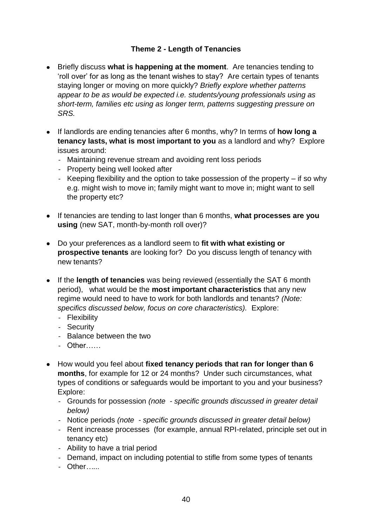# **Theme 2 - Length of Tenancies**

- Briefly discuss **what is happening at the moment**. Are tenancies tending to 'roll over' for as long as the tenant wishes to stay? Are certain types of tenants staying longer or moving on more quickly? *Briefly explore whether patterns appear to be as would be expected i.e. students/young professionals using as short-term, families etc using as longer term, patterns suggesting pressure on SRS.*
- If landlords are ending tenancies after 6 months, why? In terms of **how long a tenancy lasts, what is most important to you** as a landlord and why?Explore issues around:
	- Maintaining revenue stream and avoiding rent loss periods
	- Property being well looked after
	- Keeping flexibility and the option to take possession of the property if so why e.g. might wish to move in; family might want to move in; might want to sell the property etc?
- If tenancies are tending to last longer than 6 months, **what processes are you using** (new SAT, month-by-month roll over)?
- $\bullet$ Do your preferences as a landlord seem to **fit with what existing or prospective tenants** are looking for? Do you discuss length of tenancy with new tenants?
- If the **length of tenancies** was being reviewed (essentially the SAT 6 month period), what would be the **most important characteristics** that any new regime would need to have to work for both landlords and tenants? *(Note: specifics discussed below, focus on core characteristics).* Explore:
	- Flexibility
	- Security
	- Balance between the two
	- Other……
- How would you feel about **fixed tenancy periods that ran for longer than 6 months**, for example for 12 or 24 months? Under such circumstances, what types of conditions or safeguards would be important to you and your business? Explore:
	- Grounds for possession *(note - specific grounds discussed in greater detail below)*
	- Notice periods *(note - specific grounds discussed in greater detail below)*
	- Rent increase processes (for example, annual RPI-related, principle set out in tenancy etc)
	- Ability to have a trial period
	- Demand, impact on including potential to stifle from some types of tenants
	- Other*…...*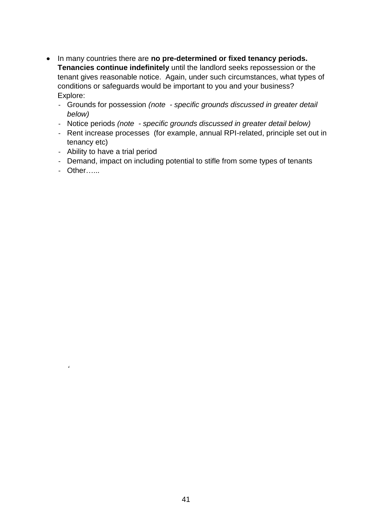- In many countries there are **no pre-determined or fixed tenancy periods. Tenancies continue indefinitely** until the landlord seeks repossession or the tenant gives reasonable notice. Again, under such circumstances, what types of conditions or safeguards would be important to you and your business? Explore:
	- Grounds for possession *(note - specific grounds discussed in greater detail below)*
	- Notice periods *(note - specific grounds discussed in greater detail below)*
	- Rent increase processes (for example, annual RPI-related, principle set out in tenancy etc)
	- Ability to have a trial period
	- Demand, impact on including potential to stifle from some types of tenants
	- Other…...

*'*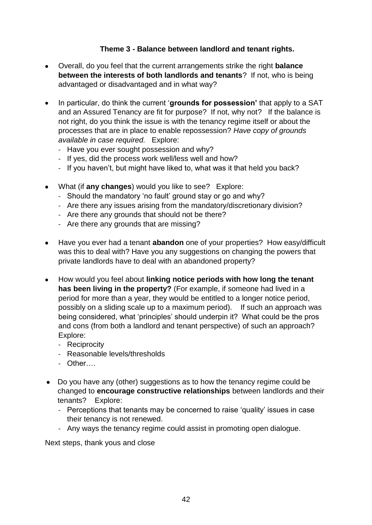# **Theme 3 - Balance between landlord and tenant rights.**

- Overall, do you feel that the current arrangements strike the right **balance between the interests of both landlords and tenants**? If not, who is being advantaged or disadvantaged and in what way?
- $\bullet$ In particular, do think the current '**grounds for possession'** that apply to a SAT and an Assured Tenancy are fit for purpose? If not, why not? If the balance is not right, do you think the issue is with the tenancy regime itself or about the processes that are in place to enable repossession? *Have copy of grounds available in case required.* Explore:
	- Have you ever sought possession and why?
	- If yes, did the process work well/less well and how?
	- If you haven't, but might have liked to, what was it that held you back?
- What (if **any changes**) would you like to see? Explore:
	- Should the mandatory 'no fault' ground stay or go and why?
	- Are there any issues arising from the mandatory/discretionary division?
	- Are there any grounds that should not be there?
	- Are there any grounds that are missing?
- Have you ever had a tenant **abandon** one of your properties? How easy/difficult was this to deal with? Have you any suggestions on changing the powers that private landlords have to deal with an abandoned property?
- How would you feel about **linking notice periods with how long the tenant has been living in the property?** (For example, if someone had lived in a period for more than a year, they would be entitled to a longer notice period, possibly on a sliding scale up to a maximum period). If such an approach was being considered, what 'principles' should underpin it? What could be the pros and cons (from both a landlord and tenant perspective) of such an approach? Explore:
	- Reciprocity
	- Reasonable levels/thresholds
	- Other….
- Do you have any (other) suggestions as to how the tenancy regime could be changed to **encourage constructive relationships** between landlords and their tenants? Explore:
	- Perceptions that tenants may be concerned to raise 'quality' issues in case their tenancy is not renewed.
	- Any ways the tenancy regime could assist in promoting open dialogue.

Next steps, thank yous and close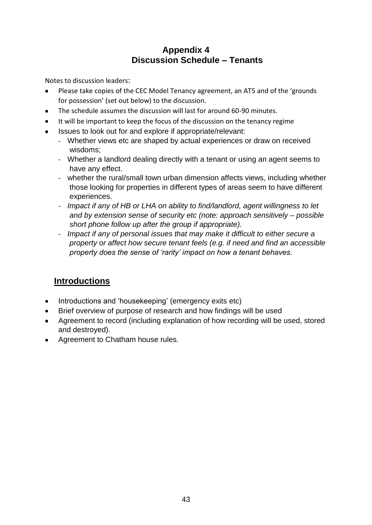# **Appendix 4 Discussion Schedule – Tenants**

Notes to discussion leaders:

- Please take copies of the CEC Model Tenancy agreement, an AT5 and of the 'grounds for possession' (set out below) to the discussion.
- The schedule assumes the discussion will last for around 60-90 minutes.  $\bullet$
- It will be important to keep the focus of the discussion on the tenancy regime
- Issues to look out for and explore if appropriate/relevant:  $\bullet$ 
	- Whether views etc are shaped by actual experiences or draw on received wisdoms;
	- Whether a landlord dealing directly with a tenant or using an agent seems to have any effect.
	- whether the rural/small town urban dimension affects views, including whether those looking for properties in different types of areas seem to have different experiences.
	- *Impact if any of HB or LHA on ability to find/landlord, agent willingness to let and by extension sense of security etc (note: approach sensitively – possible short phone follow up after the group if appropriate).*
	- *Impact if any of personal issues that may make it difficult to either secure a property or affect how secure tenant feels (e.g. if need and find an accessible property does the sense of 'rarity' impact on how a tenant behaves.*

# **Introductions**

- Introductions and 'housekeeping' (emergency exits etc)
- Brief overview of purpose of research and how findings will be used
- Agreement to record (including explanation of how recording will be used, stored and destroyed).
- Agreement to Chatham house rules.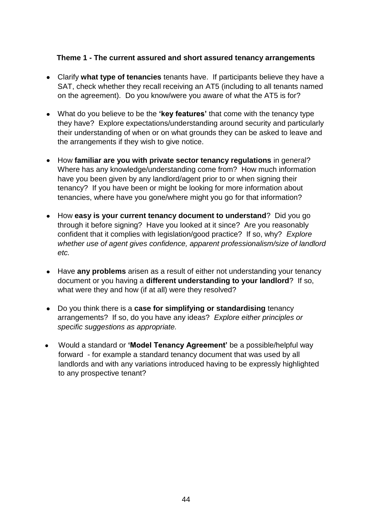## **Theme 1 - The current assured and short assured tenancy arrangements**

- Clarify **what type of tenancies** tenants have. If participants believe they have a SAT, check whether they recall receiving an AT5 (including to all tenants named on the agreement). Do you know/were you aware of what the AT5 is for?
- What do you believe to be the **'key features'** that come with the tenancy type they have? Explore expectations/understanding around security and particularly their understanding of when or on what grounds they can be asked to leave and the arrangements if they wish to give notice.
- How **familiar are you with private sector tenancy regulations** in general? Where has any knowledge/understanding come from? How much information have you been given by any landlord/agent prior to or when signing their tenancy? If you have been or might be looking for more information about tenancies, where have you gone/where might you go for that information?
- How **easy is your current tenancy document to understand**? Did you go through it before signing? Have you looked at it since? Are you reasonably confident that it complies with legislation/good practice? If so, why? *Explore whether use of agent gives confidence, apparent professionalism/size of landlord etc.*
- $\bullet$ Have **any problems** arisen as a result of either not understanding your tenancy document or you having a **different understanding to your landlord**? If so, what were they and how (if at all) were they resolved?
- Do you think there is a **case for simplifying or standardising** tenancy  $\bullet$ arrangements? If so, do you have any ideas? *Explore either principles or specific suggestions as appropriate.*
- Would a standard or **'Model Tenancy Agreement'** be a possible/helpful way forward - for example a standard tenancy document that was used by all landlords and with any variations introduced having to be expressly highlighted to any prospective tenant?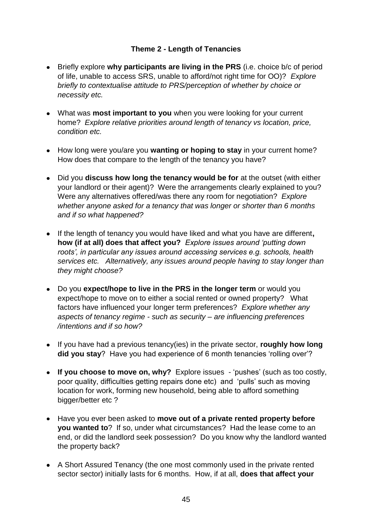# **Theme 2 - Length of Tenancies**

- Briefly explore **why participants are living in the PRS** (i.e. choice b/c of period of life, unable to access SRS, unable to afford/not right time for OO)? *Explore briefly to contextualise attitude to PRS/perception of whether by choice or necessity etc.*
- What was **most important to you** when you were looking for your current home? *Explore relative priorities around length of tenancy vs location, price, condition etc.*
- How long were you/are you **wanting or hoping to stay** in your current home? How does that compare to the length of the tenancy you have?
- Did you **discuss how long the tenancy would be for** at the outset (with either your landlord or their agent)? Were the arrangements clearly explained to you? Were any alternatives offered/was there any room for negotiation? *Explore whether anyone asked for a tenancy that was longer or shorter than 6 months and if so what happened?*
- If the length of tenancy you would have liked and what you have are different**, how (if at all) does that affect you?** *Explore issues around 'putting down roots', in particular any issues around accessing services e.g. schools, health services etc. Alternatively, any issues around people having to stay longer than they might choose?*
- Do you **expect/hope to live in the PRS in the longer term** or would you expect/hope to move on to either a social rented or owned property? What factors have influenced your longer term preferences? *Explore whether any aspects of tenancy regime - such as security – are influencing preferences /intentions and if so how?*
- If you have had a previous tenancy(ies) in the private sector, **roughly how long did you stay**? Have you had experience of 6 month tenancies 'rolling over'?
- **If you choose to move on, why?** Explore issues 'pushes' (such as too costly, poor quality, difficulties getting repairs done etc) and 'pulls' such as moving location for work, forming new household, being able to afford something bigger/better etc?
- Have you ever been asked to **move out of a private rented property before you wanted to**? If so, under what circumstances? Had the lease come to an end, or did the landlord seek possession? Do you know why the landlord wanted the property back?
- A Short Assured Tenancy (the one most commonly used in the private rented sector sector) initially lasts for 6 months. How, if at all, **does that affect your**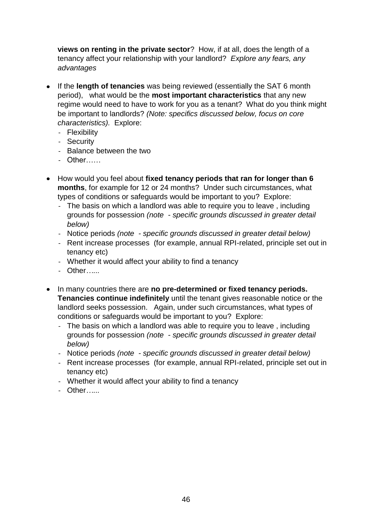**views on renting in the private sector**? How, if at all, does the length of a tenancy affect your relationship with your landlord? *Explore any fears, any advantages*

- $\bullet$ If the **length of tenancies** was being reviewed (essentially the SAT 6 month period), what would be the **most important characteristics** that any new regime would need to have to work for you as a tenant? What do you think might be important to landlords? *(Note: specifics discussed below, focus on core characteristics).* Explore:
	- Flexibility
	- Security
	- Balance between the two
	- Other……
- How would you feel about **fixed tenancy periods that ran for longer than 6 months**, for example for 12 or 24 months? Under such circumstances, what types of conditions or safeguards would be important to you? Explore:
	- The basis on which a landlord was able to require you to leave , including grounds for possession *(note - specific grounds discussed in greater detail below)*
	- Notice periods *(note - specific grounds discussed in greater detail below)*
	- Rent increase processes (for example, annual RPI-related, principle set out in tenancy etc)
	- Whether it would affect your ability to find a tenancy
	- Other*…...*
- In many countries there are **no pre-determined or fixed tenancy periods. Tenancies continue indefinitely** until the tenant gives reasonable notice or the landlord seeks possession. Again, under such circumstances, what types of conditions or safeguards would be important to you? Explore:
	- The basis on which a landlord was able to require you to leave, including grounds for possession *(note - specific grounds discussed in greater detail below)*
	- Notice periods *(note - specific grounds discussed in greater detail below)*
	- Rent increase processes (for example, annual RPI-related, principle set out in tenancy etc)
	- Whether it would affect your ability to find a tenancy
	- Other*…...*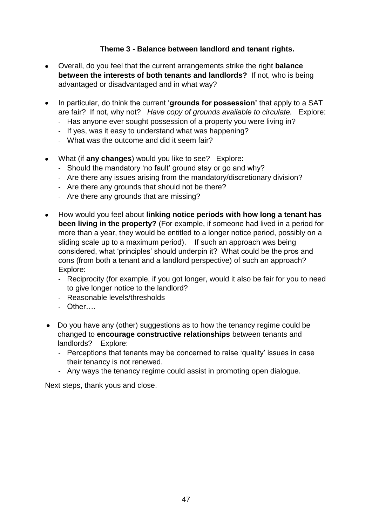# **Theme 3 - Balance between landlord and tenant rights.**

- Overall, do you feel that the current arrangements strike the right **balance between the interests of both tenants and landlords?** If not, who is being advantaged or disadvantaged and in what way?
- In particular, do think the current '**grounds for possession'** that apply to a SAT are fair? If not, why not? *Have copy of grounds available to circulate.* Explore:
	- Has anyone ever sought possession of a property you were living in?
	- If yes, was it easy to understand what was happening?
	- What was the outcome and did it seem fair?
- What (if **any changes**) would you like to see? Explore:
	- Should the mandatory 'no fault' ground stay or go and why?
	- Are there any issues arising from the mandatory/discretionary division?
	- Are there any grounds that should not be there?
	- Are there any grounds that are missing?
- How would you feel about **linking notice periods with how long a tenant has been living in the property?** (For example, if someone had lived in a period for more than a year, they would be entitled to a longer notice period, possibly on a sliding scale up to a maximum period). If such an approach was being considered, what 'principles' should underpin it? What could be the pros and cons (from both a tenant and a landlord perspective) of such an approach? Explore:
	- Reciprocity (for example, if you got longer, would it also be fair for you to need to give longer notice to the landlord?
	- Reasonable levels/thresholds
	- Other….
- Do you have any (other) suggestions as to how the tenancy regime could be changed to **encourage constructive relationships** between tenants and landlords? Explore:
	- Perceptions that tenants may be concerned to raise 'quality' issues in case their tenancy is not renewed.
	- Any ways the tenancy regime could assist in promoting open dialogue.

Next steps, thank yous and close.